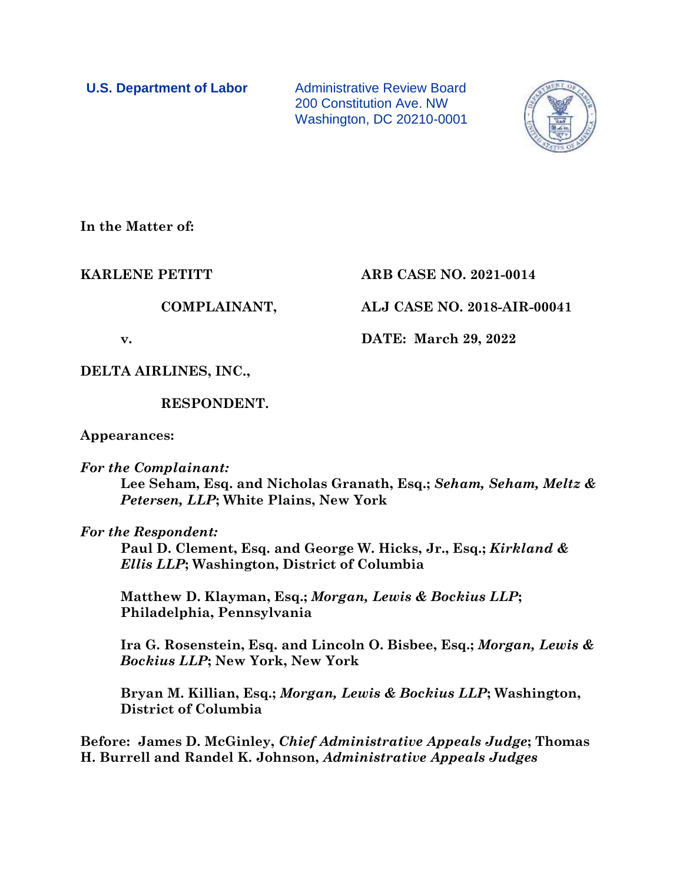**U.S. Department of Labor** Administrative Review Board 200 Constitution Ave. NW Washington, DC 20210-0001



**In the Matter of:**

# **KARLENE PETITT ARB CASE NO. 2021-0014**

**COMPLAINANT, ALJ CASE NO. 2018-AIR-00041**

**v. DATE: March 29, 2022**

**DELTA AIRLINES, INC.,**

**RESPONDENT.**

**Appearances:**

*For the Complainant:*

**Lee Seham, Esq. and Nicholas Granath, Esq.;** *Seham, Seham, Meltz & Petersen, LLP***; White Plains, New York**

*For the Respondent:*

**Paul D. Clement, Esq. and George W. Hicks, Jr., Esq.;** *Kirkland & Ellis LLP***; Washington, District of Columbia**

**Matthew D. Klayman, Esq.;** *Morgan, Lewis & Bockius LLP***; Philadelphia, Pennsylvania** 

**Ira G. Rosenstein, Esq. and Lincoln O. Bisbee, Esq.;** *Morgan, Lewis & Bockius LLP***; New York, New York**

**Bryan M. Killian, Esq.;** *Morgan, Lewis & Bockius LLP***; Washington, District of Columbia**

**Before: James D. McGinley,** *Chief Administrative Appeals Judge***; Thomas H. Burrell and Randel K. Johnson,** *Administrative Appeals Judges*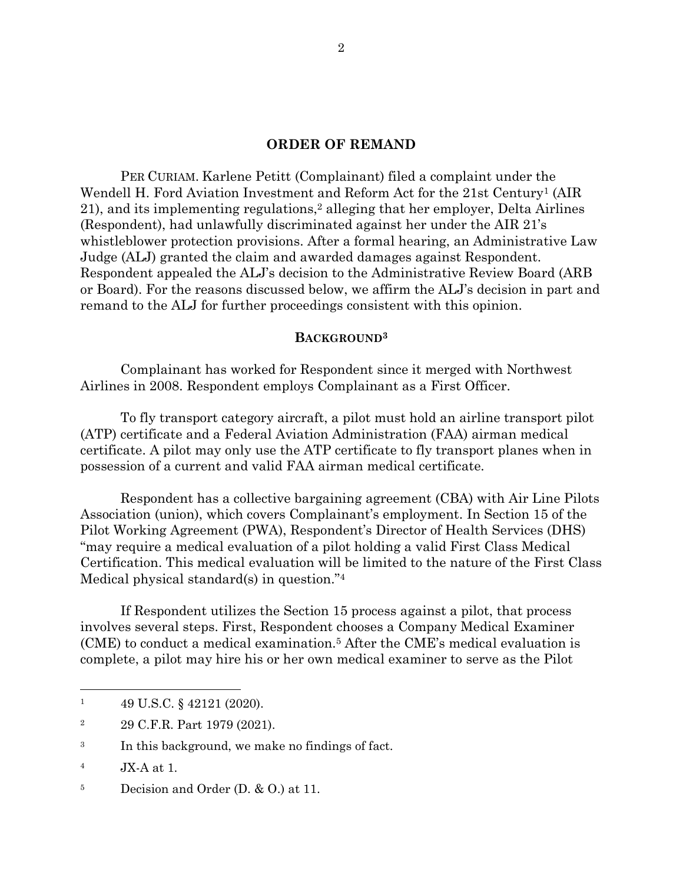#### **ORDER OF REMAND**

PER CURIAM. Karlene Petitt (Complainant) filed a complaint under the Wendell H. Ford Aviation Investment and Reform Act for the 21st Century<sup>1</sup> (AIR 21), and its implementing regulations,<sup>2</sup> alleging that her employer, Delta Airlines (Respondent), had unlawfully discriminated against her under the AIR 21's whistleblower protection provisions. After a formal hearing, an Administrative Law Judge (ALJ) granted the claim and awarded damages against Respondent. Respondent appealed the ALJ's decision to the Administrative Review Board (ARB or Board). For the reasons discussed below, we affirm the ALJ's decision in part and remand to the ALJ for further proceedings consistent with this opinion.

## **BACKGROUND<sup>3</sup>**

Complainant has worked for Respondent since it merged with Northwest Airlines in 2008. Respondent employs Complainant as a First Officer.

To fly transport category aircraft, a pilot must hold an airline transport pilot (ATP) certificate and a Federal Aviation Administration (FAA) airman medical certificate. A pilot may only use the ATP certificate to fly transport planes when in possession of a current and valid FAA airman medical certificate.

Respondent has a collective bargaining agreement (CBA) with Air Line Pilots Association (union), which covers Complainant's employment. In Section 15 of the Pilot Working Agreement (PWA), Respondent's Director of Health Services (DHS) "may require a medical evaluation of a pilot holding a valid First Class Medical Certification. This medical evaluation will be limited to the nature of the First Class Medical physical standard(s) in question."<sup>4</sup>

If Respondent utilizes the Section 15 process against a pilot, that process involves several steps. First, Respondent chooses a Company Medical Examiner (CME) to conduct a medical examination.<sup>5</sup> After the CME's medical evaluation is complete, a pilot may hire his or her own medical examiner to serve as the Pilot

 $1 \qquad 49 \text{ U.S.C.} \text{ § } 42121 \text{ (2020).}$ 

<sup>2</sup> 29 C.F.R. Part 1979 (2021).

<sup>&</sup>lt;sup>3</sup> In this background, we make no findings of fact.

<sup>4</sup> JX-A at 1.

<sup>&</sup>lt;sup>5</sup> Decision and Order (D. & O.) at 11.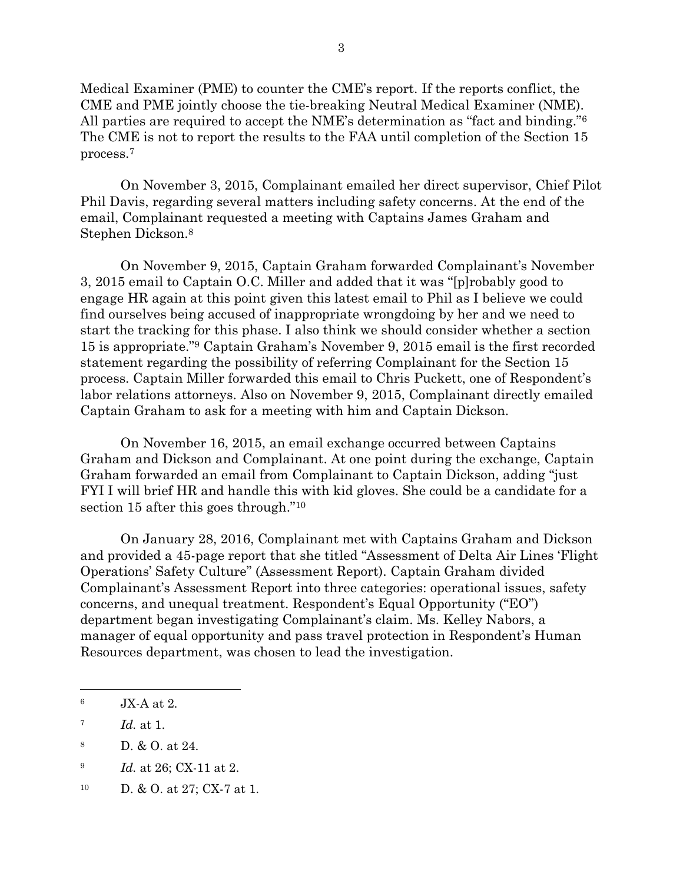Medical Examiner (PME) to counter the CME's report. If the reports conflict, the CME and PME jointly choose the tie-breaking Neutral Medical Examiner (NME). All parties are required to accept the NME's determination as "fact and binding."<sup>6</sup> The CME is not to report the results to the FAA until completion of the Section 15 process.<sup>7</sup>

On November 3, 2015, Complainant emailed her direct supervisor, Chief Pilot Phil Davis, regarding several matters including safety concerns. At the end of the email, Complainant requested a meeting with Captains James Graham and Stephen Dickson. 8

On November 9, 2015, Captain Graham forwarded Complainant's November 3, 2015 email to Captain O.C. Miller and added that it was "[p]robably good to engage HR again at this point given this latest email to Phil as I believe we could find ourselves being accused of inappropriate wrongdoing by her and we need to start the tracking for this phase. I also think we should consider whether a section 15 is appropriate."<sup>9</sup> Captain Graham's November 9, 2015 email is the first recorded statement regarding the possibility of referring Complainant for the Section 15 process. Captain Miller forwarded this email to Chris Puckett, one of Respondent's labor relations attorneys. Also on November 9, 2015, Complainant directly emailed Captain Graham to ask for a meeting with him and Captain Dickson.

On November 16, 2015, an email exchange occurred between Captains Graham and Dickson and Complainant. At one point during the exchange, Captain Graham forwarded an email from Complainant to Captain Dickson, adding "just FYI I will brief HR and handle this with kid gloves. She could be a candidate for a section 15 after this goes through."<sup>10</sup>

On January 28, 2016, Complainant met with Captains Graham and Dickson and provided a 45-page report that she titled "Assessment of Delta Air Lines 'Flight Operations' Safety Culture" (Assessment Report). Captain Graham divided Complainant's Assessment Report into three categories: operational issues, safety concerns, and unequal treatment. Respondent's Equal Opportunity ("EO") department began investigating Complainant's claim. Ms. Kelley Nabors, a manager of equal opportunity and pass travel protection in Respondent's Human Resources department, was chosen to lead the investigation.

<sup>6</sup> JX-A at 2.

<sup>7</sup> *Id.* at 1.

<sup>8</sup> D. & O. at 24.

<sup>9</sup> *Id.* at 26; CX-11 at 2.

<sup>10</sup> D. & O. at 27; CX-7 at 1.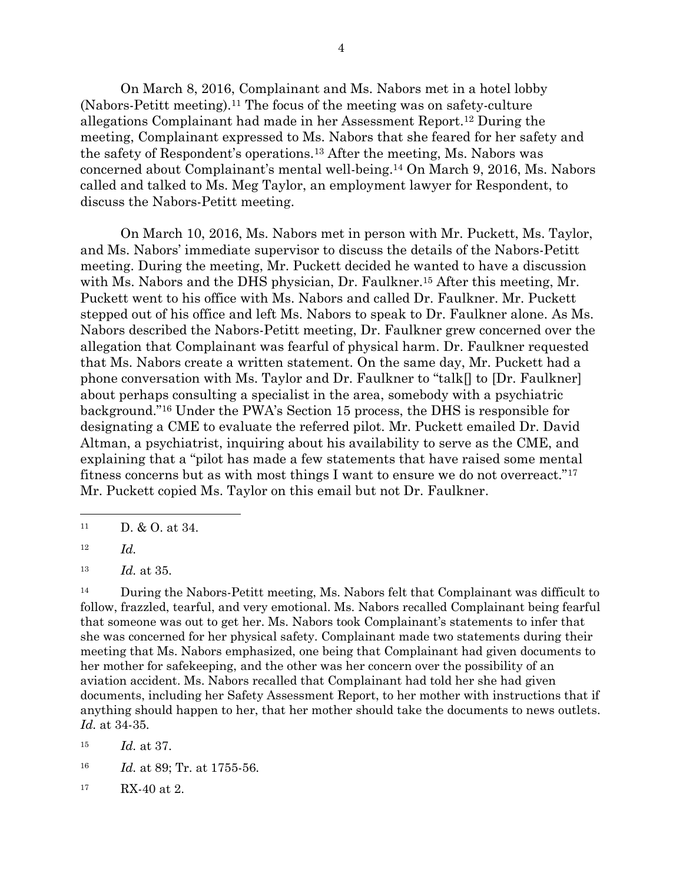On March 8, 2016, Complainant and Ms. Nabors met in a hotel lobby (Nabors-Petitt meeting).<sup>11</sup> The focus of the meeting was on safety-culture allegations Complainant had made in her Assessment Report. <sup>12</sup> During the meeting, Complainant expressed to Ms. Nabors that she feared for her safety and the safety of Respondent's operations. <sup>13</sup> After the meeting, Ms. Nabors was concerned about Complainant's mental well-being. <sup>14</sup> On March 9, 2016, Ms. Nabors called and talked to Ms. Meg Taylor, an employment lawyer for Respondent, to discuss the Nabors-Petitt meeting.

On March 10, 2016, Ms. Nabors met in person with Mr. Puckett, Ms. Taylor, and Ms. Nabors' immediate supervisor to discuss the details of the Nabors-Petitt meeting. During the meeting, Mr. Puckett decided he wanted to have a discussion with Ms. Nabors and the DHS physician, Dr. Faulkner.<sup>15</sup> After this meeting, Mr. Puckett went to his office with Ms. Nabors and called Dr. Faulkner. Mr. Puckett stepped out of his office and left Ms. Nabors to speak to Dr. Faulkner alone. As Ms. Nabors described the Nabors-Petitt meeting, Dr. Faulkner grew concerned over the allegation that Complainant was fearful of physical harm. Dr. Faulkner requested that Ms. Nabors create a written statement. On the same day, Mr. Puckett had a phone conversation with Ms. Taylor and Dr. Faulkner to "talk[] to [Dr. Faulkner] about perhaps consulting a specialist in the area, somebody with a psychiatric background."<sup>16</sup> Under the PWA's Section 15 process, the DHS is responsible for designating a CME to evaluate the referred pilot. Mr. Puckett emailed Dr. David Altman, a psychiatrist, inquiring about his availability to serve as the CME, and explaining that a "pilot has made a few statements that have raised some mental fitness concerns but as with most things I want to ensure we do not overreact."<sup>17</sup> Mr. Puckett copied Ms. Taylor on this email but not Dr. Faulkner.

<sup>12</sup> *Id.*

<sup>13</sup> *Id.* at 35.

<sup>14</sup> During the Nabors-Petitt meeting, Ms. Nabors felt that Complainant was difficult to follow, frazzled, tearful, and very emotional. Ms. Nabors recalled Complainant being fearful that someone was out to get her. Ms. Nabors took Complainant's statements to infer that she was concerned for her physical safety. Complainant made two statements during their meeting that Ms. Nabors emphasized, one being that Complainant had given documents to her mother for safekeeping, and the other was her concern over the possibility of an aviation accident. Ms. Nabors recalled that Complainant had told her she had given documents, including her Safety Assessment Report, to her mother with instructions that if anything should happen to her, that her mother should take the documents to news outlets. *Id.* at 34-35.

<sup>15</sup> *Id.* at 37.

<sup>16</sup> *Id.* at 89; Tr. at 1755-56.

<sup>17</sup> RX-40 at 2.

 $11$  D. & O. at 34.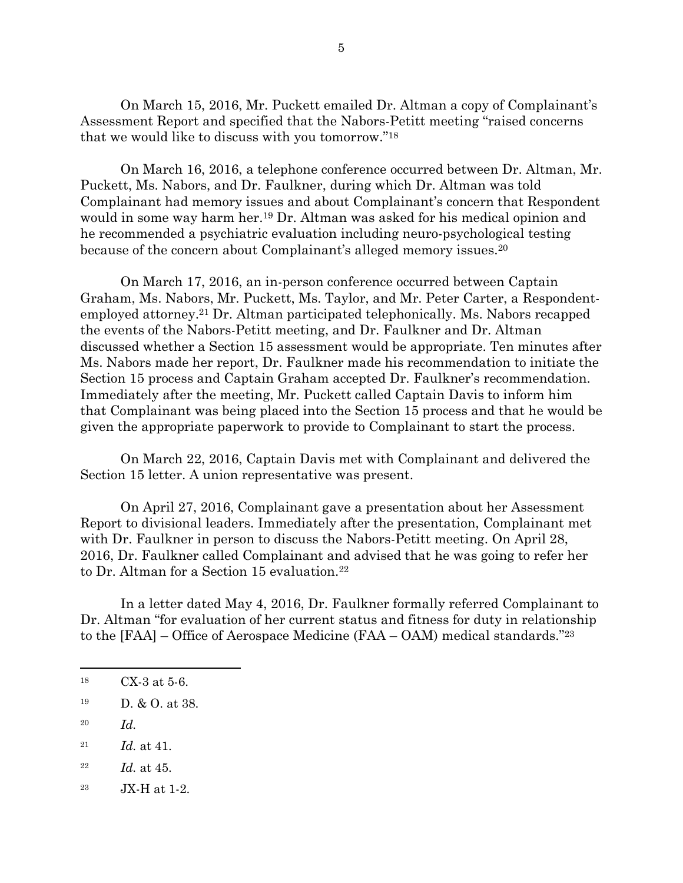On March 15, 2016, Mr. Puckett emailed Dr. Altman a copy of Complainant's Assessment Report and specified that the Nabors-Petitt meeting "raised concerns that we would like to discuss with you tomorrow."<sup>18</sup>

On March 16, 2016, a telephone conference occurred between Dr. Altman, Mr. Puckett, Ms. Nabors, and Dr. Faulkner, during which Dr. Altman was told Complainant had memory issues and about Complainant's concern that Respondent would in some way harm her. <sup>19</sup> Dr. Altman was asked for his medical opinion and he recommended a psychiatric evaluation including neuro-psychological testing because of the concern about Complainant's alleged memory issues.<sup>20</sup>

On March 17, 2016, an in-person conference occurred between Captain Graham, Ms. Nabors, Mr. Puckett, Ms. Taylor, and Mr. Peter Carter, a Respondentemployed attorney.<sup>21</sup> Dr. Altman participated telephonically. Ms. Nabors recapped the events of the Nabors-Petitt meeting, and Dr. Faulkner and Dr. Altman discussed whether a Section 15 assessment would be appropriate. Ten minutes after Ms. Nabors made her report, Dr. Faulkner made his recommendation to initiate the Section 15 process and Captain Graham accepted Dr. Faulkner's recommendation. Immediately after the meeting, Mr. Puckett called Captain Davis to inform him that Complainant was being placed into the Section 15 process and that he would be given the appropriate paperwork to provide to Complainant to start the process.

On March 22, 2016, Captain Davis met with Complainant and delivered the Section 15 letter. A union representative was present.

On April 27, 2016, Complainant gave a presentation about her Assessment Report to divisional leaders. Immediately after the presentation, Complainant met with Dr. Faulkner in person to discuss the Nabors-Petitt meeting. On April 28, 2016, Dr. Faulkner called Complainant and advised that he was going to refer her to Dr. Altman for a Section 15 evaluation.<sup>22</sup>

In a letter dated May 4, 2016, Dr. Faulkner formally referred Complainant to Dr. Altman "for evaluation of her current status and fitness for duty in relationship to the [FAA] – Office of Aerospace Medicine (FAA – OAM) medical standards."<sup>23</sup>

- <sup>20</sup> *Id.*
- <sup>21</sup> *Id.* at 41.
- <sup>22</sup> *Id.* at 45.
- <sup>23</sup> JX-H at 1-2.

<sup>18</sup> CX-3 at 5-6.

 $19 \quad D. \& O. \text{at } 38.$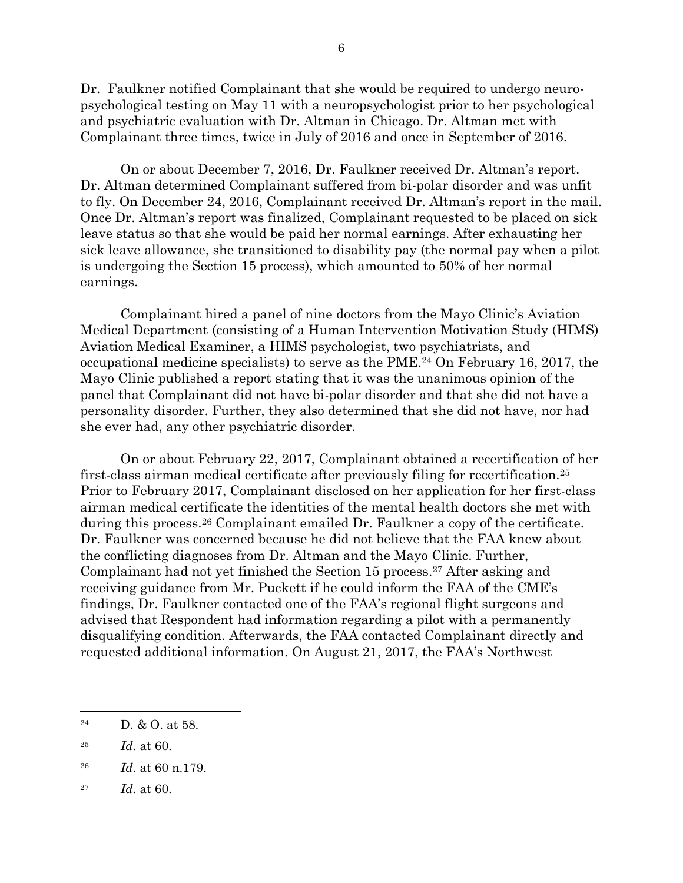Dr. Faulkner notified Complainant that she would be required to undergo neuropsychological testing on May 11 with a neuropsychologist prior to her psychological and psychiatric evaluation with Dr. Altman in Chicago. Dr. Altman met with Complainant three times, twice in July of 2016 and once in September of 2016.

On or about December 7, 2016, Dr. Faulkner received Dr. Altman's report. Dr. Altman determined Complainant suffered from bi-polar disorder and was unfit to fly. On December 24, 2016, Complainant received Dr. Altman's report in the mail. Once Dr. Altman's report was finalized, Complainant requested to be placed on sick leave status so that she would be paid her normal earnings. After exhausting her sick leave allowance, she transitioned to disability pay (the normal pay when a pilot is undergoing the Section 15 process), which amounted to 50% of her normal earnings.

Complainant hired a panel of nine doctors from the Mayo Clinic's Aviation Medical Department (consisting of a Human Intervention Motivation Study (HIMS) Aviation Medical Examiner, a HIMS psychologist, two psychiatrists, and occupational medicine specialists) to serve as the PME. <sup>24</sup> On February 16, 2017, the Mayo Clinic published a report stating that it was the unanimous opinion of the panel that Complainant did not have bi-polar disorder and that she did not have a personality disorder. Further, they also determined that she did not have, nor had she ever had, any other psychiatric disorder.

On or about February 22, 2017, Complainant obtained a recertification of her first-class airman medical certificate after previously filing for recertification.<sup>25</sup> Prior to February 2017, Complainant disclosed on her application for her first-class airman medical certificate the identities of the mental health doctors she met with during this process.<sup>26</sup> Complainant emailed Dr. Faulkner a copy of the certificate. Dr. Faulkner was concerned because he did not believe that the FAA knew about the conflicting diagnoses from Dr. Altman and the Mayo Clinic. Further, Complainant had not yet finished the Section 15 process. <sup>27</sup> After asking and receiving guidance from Mr. Puckett if he could inform the FAA of the CME's findings, Dr. Faulkner contacted one of the FAA's regional flight surgeons and advised that Respondent had information regarding a pilot with a permanently disqualifying condition. Afterwards, the FAA contacted Complainant directly and requested additional information. On August 21, 2017, the FAA's Northwest

<sup>&</sup>lt;sup>24</sup> D. & O. at 58.

<sup>25</sup> *Id.* at 60.

<sup>26</sup> *Id.* at 60 n.179.

<sup>27</sup> *Id.* at 60.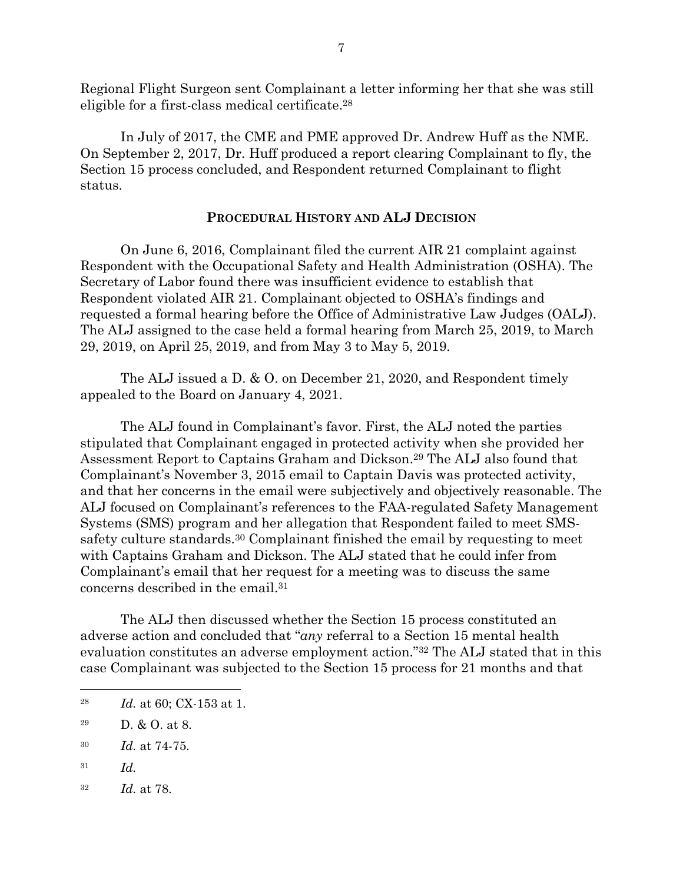Regional Flight Surgeon sent Complainant a letter informing her that she was still eligible for a first-class medical certificate. 28

In July of 2017, the CME and PME approved Dr. Andrew Huff as the NME. On September 2, 2017, Dr. Huff produced a report clearing Complainant to fly, the Section 15 process concluded, and Respondent returned Complainant to flight status.

## **PROCEDURAL HISTORY AND ALJ DECISION**

On June 6, 2016, Complainant filed the current AIR 21 complaint against Respondent with the Occupational Safety and Health Administration (OSHA). The Secretary of Labor found there was insufficient evidence to establish that Respondent violated AIR 21. Complainant objected to OSHA's findings and requested a formal hearing before the Office of Administrative Law Judges (OALJ). The ALJ assigned to the case held a formal hearing from March 25, 2019, to March 29, 2019, on April 25, 2019, and from May 3 to May 5, 2019.

The ALJ issued a D. & O. on December 21, 2020, and Respondent timely appealed to the Board on January 4, 2021.

The ALJ found in Complainant's favor. First, the ALJ noted the parties stipulated that Complainant engaged in protected activity when she provided her Assessment Report to Captains Graham and Dickson. <sup>29</sup> The ALJ also found that Complainant's November 3, 2015 email to Captain Davis was protected activity, and that her concerns in the email were subjectively and objectively reasonable. The ALJ focused on Complainant's references to the FAA-regulated Safety Management Systems (SMS) program and her allegation that Respondent failed to meet SMSsafety culture standards.<sup>30</sup> Complainant finished the email by requesting to meet with Captains Graham and Dickson. The ALJ stated that he could infer from Complainant's email that her request for a meeting was to discuss the same concerns described in the email. 31

The ALJ then discussed whether the Section 15 process constituted an adverse action and concluded that "*any* referral to a Section 15 mental health evaluation constitutes an adverse employment action."<sup>32</sup> The ALJ stated that in this case Complainant was subjected to the Section 15 process for 21 months and that

- <sup>31</sup> *Id.*
- <sup>32</sup> *Id.* at 78.

<sup>28</sup> *Id.* at 60; CX-153 at 1.

<sup>&</sup>lt;sup>29</sup> D. & O. at 8.

<sup>30</sup> *Id.* at 74-75.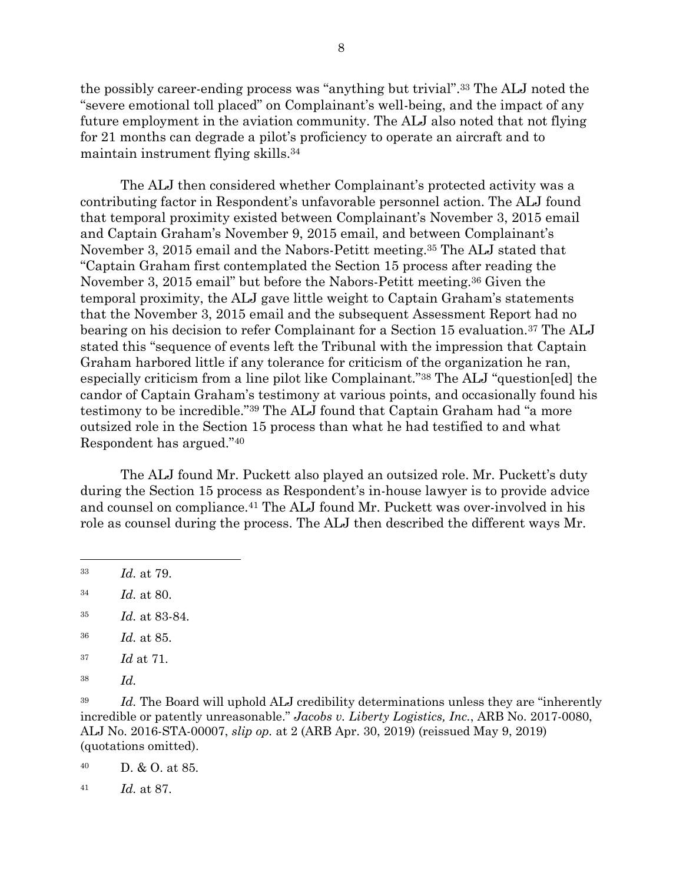the possibly career-ending process was "anything but trivial". <sup>33</sup> The ALJ noted the "severe emotional toll placed" on Complainant's well-being, and the impact of any future employment in the aviation community. The ALJ also noted that not flying for 21 months can degrade a pilot's proficiency to operate an aircraft and to maintain instrument flying skills.<sup>34</sup>

The ALJ then considered whether Complainant's protected activity was a contributing factor in Respondent's unfavorable personnel action. The ALJ found that temporal proximity existed between Complainant's November 3, 2015 email and Captain Graham's November 9, 2015 email, and between Complainant's November 3, 2015 email and the Nabors-Petitt meeting. <sup>35</sup> The ALJ stated that "Captain Graham first contemplated the Section 15 process after reading the November 3, 2015 email" but before the Nabors-Petitt meeting.<sup>36</sup> Given the temporal proximity, the ALJ gave little weight to Captain Graham's statements that the November 3, 2015 email and the subsequent Assessment Report had no bearing on his decision to refer Complainant for a Section 15 evaluation.<sup>37</sup> The ALJ stated this "sequence of events left the Tribunal with the impression that Captain Graham harbored little if any tolerance for criticism of the organization he ran, especially criticism from a line pilot like Complainant."<sup>38</sup> The ALJ "question[ed] the candor of Captain Graham's testimony at various points, and occasionally found his testimony to be incredible."<sup>39</sup> The ALJ found that Captain Graham had "a more outsized role in the Section 15 process than what he had testified to and what Respondent has argued."<sup>40</sup>

The ALJ found Mr. Puckett also played an outsized role. Mr. Puckett's duty during the Section 15 process as Respondent's in-house lawyer is to provide advice and counsel on compliance.<sup>41</sup> The ALJ found Mr. Puckett was over-involved in his role as counsel during the process. The ALJ then described the different ways Mr.

- <sup>34</sup> *Id.* at 80.
- <sup>35</sup> *Id.* at 83-84.
- <sup>36</sup> *Id.* at 85.
- <sup>37</sup> *Id* at 71.
- <sup>38</sup> *Id.*

<sup>39</sup> *Id.* The Board will uphold ALJ credibility determinations unless they are "inherently incredible or patently unreasonable." *Jacobs v. Liberty Logistics, Inc.*, ARB No. 2017-0080, ALJ No. 2016-STA-00007, *slip op.* at 2 (ARB Apr. 30, 2019) (reissued May 9, 2019) (quotations omitted).

<sup>40</sup> D. & O. at 85.

<sup>41</sup> *Id.* at 87.

<sup>33</sup> *Id.* at 79.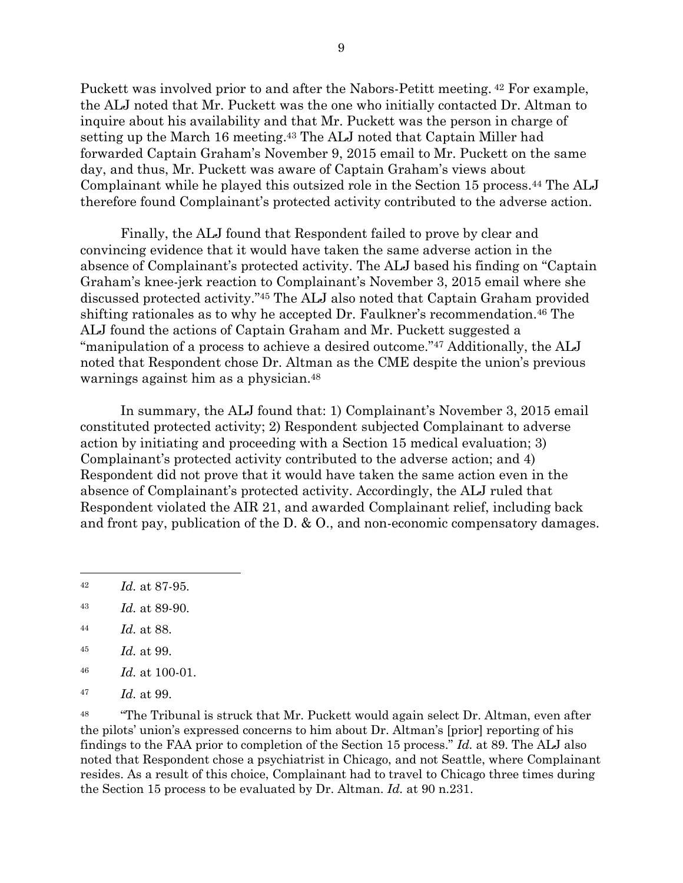Puckett was involved prior to and after the Nabors-Petitt meeting. <sup>42</sup> For example, the ALJ noted that Mr. Puckett was the one who initially contacted Dr. Altman to inquire about his availability and that Mr. Puckett was the person in charge of setting up the March 16 meeting. <sup>43</sup> The ALJ noted that Captain Miller had forwarded Captain Graham's November 9, 2015 email to Mr. Puckett on the same day, and thus, Mr. Puckett was aware of Captain Graham's views about Complainant while he played this outsized role in the Section 15 process. <sup>44</sup> The ALJ therefore found Complainant's protected activity contributed to the adverse action.

Finally, the ALJ found that Respondent failed to prove by clear and convincing evidence that it would have taken the same adverse action in the absence of Complainant's protected activity. The ALJ based his finding on "Captain Graham's knee-jerk reaction to Complainant's November 3, 2015 email where she discussed protected activity." <sup>45</sup> The ALJ also noted that Captain Graham provided shifting rationales as to why he accepted Dr. Faulkner's recommendation.<sup>46</sup> The ALJ found the actions of Captain Graham and Mr. Puckett suggested a "manipulation of a process to achieve a desired outcome."<sup>47</sup> Additionally, the ALJ noted that Respondent chose Dr. Altman as the CME despite the union's previous warnings against him as a physician.<sup>48</sup>

In summary, the ALJ found that: 1) Complainant's November 3, 2015 email constituted protected activity; 2) Respondent subjected Complainant to adverse action by initiating and proceeding with a Section 15 medical evaluation; 3) Complainant's protected activity contributed to the adverse action; and 4) Respondent did not prove that it would have taken the same action even in the absence of Complainant's protected activity. Accordingly, the ALJ ruled that Respondent violated the AIR 21, and awarded Complainant relief, including back and front pay, publication of the D. & O., and non-economic compensatory damages.

- <sup>44</sup> *Id.* at 88.
- <sup>45</sup> *Id.* at 99.
- <sup>46</sup> *Id.* at 100-01.
- <sup>47</sup> *Id.* at 99.

<sup>48</sup> "The Tribunal is struck that Mr. Puckett would again select Dr. Altman, even after the pilots' union's expressed concerns to him about Dr. Altman's [prior] reporting of his findings to the FAA prior to completion of the Section 15 process." *Id.* at 89. The ALJ also noted that Respondent chose a psychiatrist in Chicago, and not Seattle, where Complainant resides. As a result of this choice, Complainant had to travel to Chicago three times during the Section 15 process to be evaluated by Dr. Altman. *Id.* at 90 n.231.

<sup>42</sup> *Id.* at 87-95.

<sup>43</sup> *Id.* at 89-90.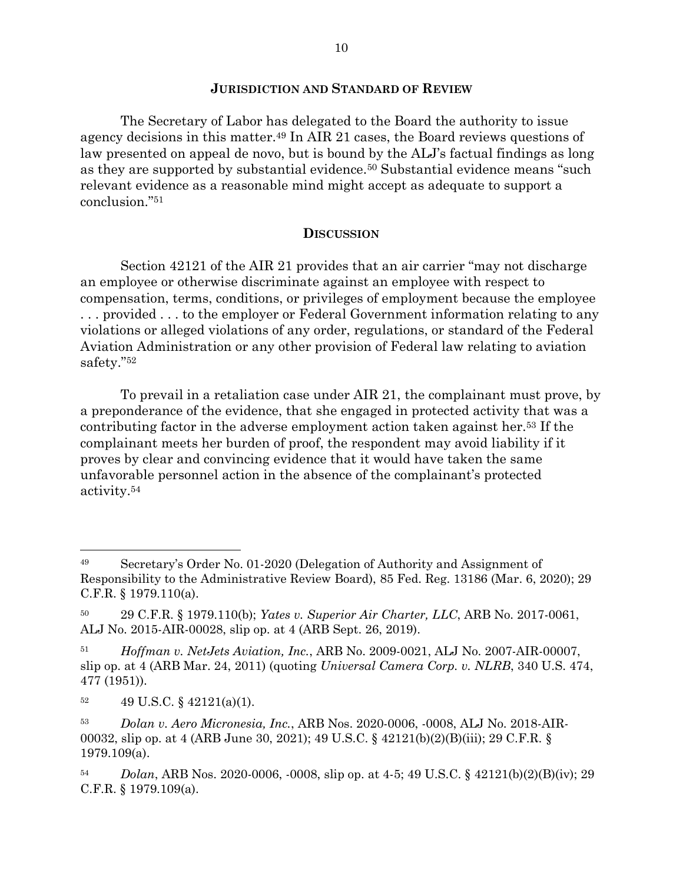## **JURISDICTION AND STANDARD OF REVIEW**

The Secretary of Labor has delegated to the Board the authority to issue agency decisions in this matter.<sup>49</sup> In AIR 21 cases, the Board reviews questions of law presented on appeal de novo, but is bound by the ALJ's factual findings as long as they are supported by substantial evidence.<sup>50</sup> Substantial evidence means "such relevant evidence as a reasonable mind might accept as adequate to support a conclusion."<sup>51</sup>

## **DISCUSSION**

Section 42121 of the AIR 21 provides that an air carrier "may not discharge an employee or otherwise discriminate against an employee with respect to compensation, terms, conditions, or privileges of employment because the employee . . . provided . . . to the employer or Federal Government information relating to any violations or alleged violations of any order, regulations, or standard of the Federal Aviation Administration or any other provision of Federal law relating to aviation safety."<sup>52</sup>

To prevail in a retaliation case under AIR 21, the complainant must prove, by a preponderance of the evidence, that she engaged in protected activity that was a contributing factor in the adverse employment action taken against her. <sup>53</sup> If the complainant meets her burden of proof, the respondent may avoid liability if it proves by clear and convincing evidence that it would have taken the same unfavorable personnel action in the absence of the complainant's protected activity.<sup>54</sup>

<sup>49</sup> Secretary's Order No. 01-2020 (Delegation of Authority and Assignment of Responsibility to the Administrative Review Board), 85 Fed. Reg. 13186 (Mar. 6, 2020); 29 C.F.R. § 1979.110(a).

<sup>50</sup> 29 C.F.R. § 1979.110(b); *Yates v. Superior Air Charter, LLC*, ARB No. 2017-0061, ALJ No. 2015-AIR-00028, slip op. at 4 (ARB Sept. 26, 2019).

<sup>51</sup> *Hoffman v. NetJets Aviation, Inc.*, ARB No. 2009-0021, ALJ No. 2007-AIR-00007, slip op. at 4 (ARB Mar. 24, 2011) (quoting *Universal Camera Corp. v. NLRB*, 340 U.S. 474, 477 (1951)).

 $52 \qquad 49 \text{ U.S.C.} \$  $42121(a)(1)$ .

<sup>53</sup> *Dolan v. Aero Micronesia, Inc.*, ARB Nos. 2020-0006, -0008, ALJ No. 2018-AIR-00032, slip op. at 4 (ARB June 30, 2021); 49 U.S.C. § 42121(b)(2)(B)(iii); 29 C.F.R. § 1979.109(a).

<sup>54</sup> *Dolan*, ARB Nos. 2020-0006, -0008, slip op. at 4-5; 49 U.S.C. § 42121(b)(2)(B)(iv); 29 C.F.R. § 1979.109(a).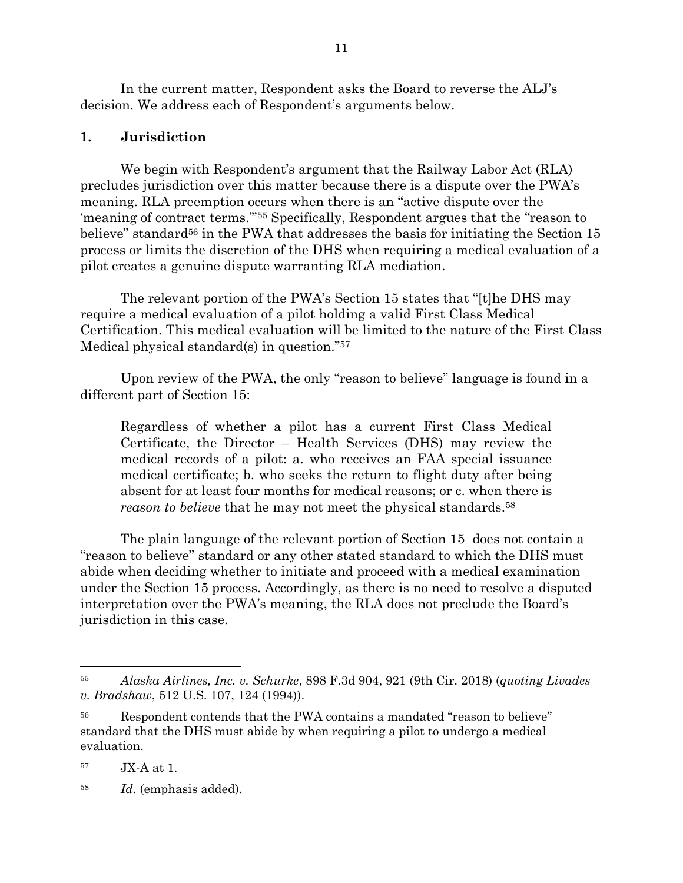In the current matter, Respondent asks the Board to reverse the ALJ's decision. We address each of Respondent's arguments below.

# **1. Jurisdiction**

We begin with Respondent's argument that the Railway Labor Act (RLA) precludes jurisdiction over this matter because there is a dispute over the PWA's meaning. RLA preemption occurs when there is an "active dispute over the 'meaning of contract terms.'"<sup>55</sup> Specifically, Respondent argues that the "reason to believe" standard<sup>56</sup> in the PWA that addresses the basis for initiating the Section 15 process or limits the discretion of the DHS when requiring a medical evaluation of a pilot creates a genuine dispute warranting RLA mediation.

The relevant portion of the PWA's Section 15 states that "[t]he DHS may require a medical evaluation of a pilot holding a valid First Class Medical Certification. This medical evaluation will be limited to the nature of the First Class Medical physical standard(s) in question."<sup>57</sup>

Upon review of the PWA, the only "reason to believe" language is found in a different part of Section 15:

Regardless of whether a pilot has a current First Class Medical Certificate, the Director – Health Services (DHS) may review the medical records of a pilot: a. who receives an FAA special issuance medical certificate; b. who seeks the return to flight duty after being absent for at least four months for medical reasons; or c. when there is *reason to believe* that he may not meet the physical standards.<sup>58</sup>

The plain language of the relevant portion of Section 15 does not contain a "reason to believe" standard or any other stated standard to which the DHS must abide when deciding whether to initiate and proceed with a medical examination under the Section 15 process. Accordingly, as there is no need to resolve a disputed interpretation over the PWA's meaning, the RLA does not preclude the Board's jurisdiction in this case.

<sup>58</sup> *Id.* (emphasis added).

<sup>55</sup> *Alaska Airlines, Inc. v. Schurke*, 898 F.3d 904, 921 (9th Cir. 2018) (*quoting Livades v. Bradshaw*, 512 U.S. 107, 124 (1994)).

<sup>56</sup> Respondent contends that the PWA contains a mandated "reason to believe" standard that the DHS must abide by when requiring a pilot to undergo a medical evaluation.

<sup>57</sup> JX-A at 1.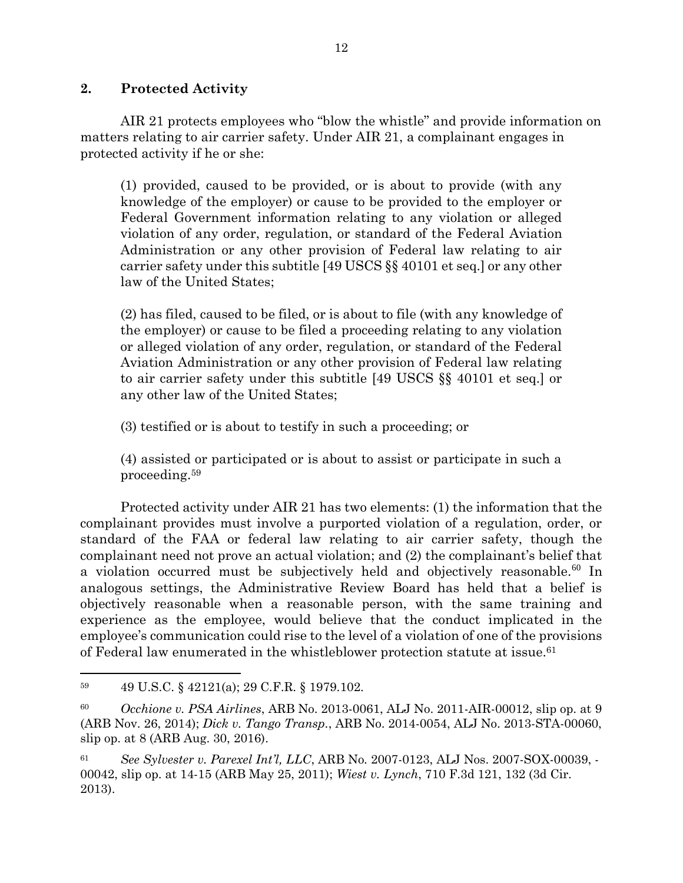# **2. Protected Activity**

AIR 21 protects employees who "blow the whistle" and provide information on matters relating to air carrier safety. Under AIR 21, a complainant engages in protected activity if he or she:

(1) provided, caused to be provided, or is about to provide (with any knowledge of the employer) or cause to be provided to the employer or Federal Government information relating to any violation or alleged violation of any order, regulation, or standard of the Federal Aviation Administration or any other provision of Federal law relating to air carrier safety under this subtitle [49 USCS §§ 40101 et seq.] or any other law of the United States;

(2) has filed, caused to be filed, or is about to file (with any knowledge of the employer) or cause to be filed a proceeding relating to any violation or alleged violation of any order, regulation, or standard of the Federal Aviation Administration or any other provision of Federal law relating to air carrier safety under this subtitle [49 USCS §§ 40101 et seq.] or any other law of the United States;

(3) testified or is about to testify in such a proceeding; or

(4) assisted or participated or is about to assist or participate in such a proceeding.<sup>59</sup>

Protected activity under AIR 21 has two elements: (1) the information that the complainant provides must involve a purported violation of a regulation, order, or standard of the FAA or federal law relating to air carrier safety, though the complainant need not prove an actual violation; and (2) the complainant's belief that a violation occurred must be subjectively held and objectively reasonable.<sup>60</sup> In analogous settings, the Administrative Review Board has held that a belief is objectively reasonable when a reasonable person, with the same training and experience as the employee, would believe that the conduct implicated in the employee's communication could rise to the level of a violation of one of the provisions of Federal law enumerated in the whistleblower protection statute at issue.<sup>61</sup>

<sup>59</sup> 49 U.S.C. § 42121(a); 29 C.F.R. § 1979.102.

<sup>60</sup> *Occhione v. PSA Airlines*, ARB No. 2013-0061, ALJ No. 2011-AIR-00012, slip op. at 9 (ARB Nov. 26, 2014); *Dick v. Tango Transp.*, ARB No. 2014-0054, ALJ No. 2013-STA-00060, slip op. at 8 (ARB Aug. 30, 2016).

<sup>61</sup> *See Sylvester v. Parexel Int'l, LLC*, ARB No. 2007-0123, ALJ Nos. 2007-SOX-00039, - 00042, slip op. at 14-15 (ARB May 25, 2011); *Wiest v. Lynch*, 710 F.3d 121, 132 (3d Cir. 2013).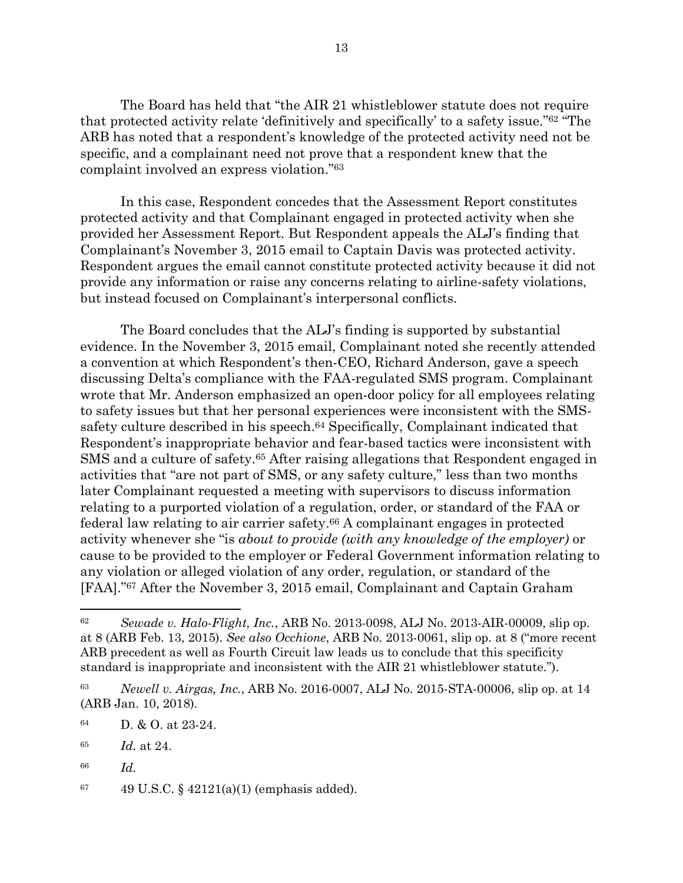The Board has held that "the AIR 21 whistleblower statute does not require that protected activity relate 'definitively and specifically' to a safety issue."<sup>62</sup> "The ARB has noted that a respondent's knowledge of the protected activity need not be specific, and a complainant need not prove that a respondent knew that the complaint involved an express violation."<sup>63</sup>

In this case, Respondent concedes that the Assessment Report constitutes protected activity and that Complainant engaged in protected activity when she provided her Assessment Report. But Respondent appeals the ALJ's finding that Complainant's November 3, 2015 email to Captain Davis was protected activity. Respondent argues the email cannot constitute protected activity because it did not provide any information or raise any concerns relating to airline-safety violations, but instead focused on Complainant's interpersonal conflicts.

The Board concludes that the ALJ's finding is supported by substantial evidence. In the November 3, 2015 email, Complainant noted she recently attended a convention at which Respondent's then-CEO, Richard Anderson, gave a speech discussing Delta's compliance with the FAA-regulated SMS program. Complainant wrote that Mr. Anderson emphasized an open-door policy for all employees relating to safety issues but that her personal experiences were inconsistent with the SMSsafety culture described in his speech. <sup>64</sup> Specifically, Complainant indicated that Respondent's inappropriate behavior and fear-based tactics were inconsistent with SMS and a culture of safety.<sup>65</sup> After raising allegations that Respondent engaged in activities that "are not part of SMS, or any safety culture," less than two months later Complainant requested a meeting with supervisors to discuss information relating to a purported violation of a regulation, order, or standard of the FAA or federal law relating to air carrier safety. <sup>66</sup> A complainant engages in protected activity whenever she "is *about to provide (with any knowledge of the employer)* or cause to be provided to the employer or Federal Government information relating to any violation or alleged violation of any order, regulation, or standard of the [FAA]."<sup>67</sup> After the November 3, 2015 email, Complainant and Captain Graham

<sup>62</sup> *Sewade v. Halo-Flight, Inc.*, ARB No. 2013-0098, ALJ No. 2013-AIR-00009, slip op. at 8 (ARB Feb. 13, 2015). *See also Occhione*, ARB No. 2013-0061, slip op. at 8 ("more recent ARB precedent as well as Fourth Circuit law leads us to conclude that this specificity standard is inappropriate and inconsistent with the AIR 21 whistleblower statute.").

<sup>63</sup> *Newell v. Airgas, Inc.*, ARB No. 2016-0007, ALJ No. 2015-STA-00006, slip op. at 14 (ARB Jan. 10, 2018).

<sup>64</sup> D. & O. at 23-24.

<sup>65</sup> *Id.* at 24.

<sup>66</sup> *Id.*

<sup>67 49</sup> U.S.C.  $\S$  42121(a)(1) (emphasis added).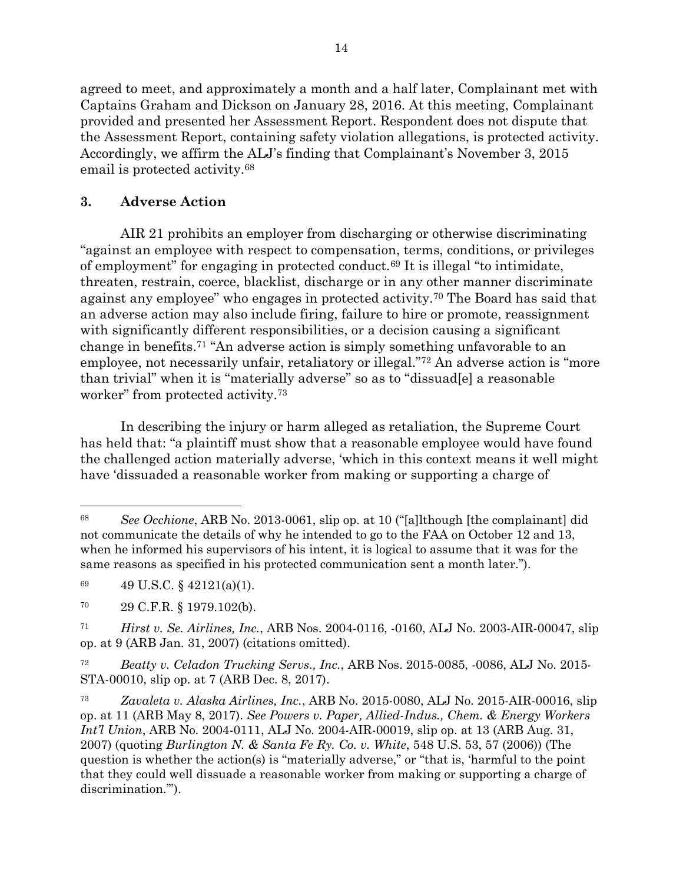agreed to meet, and approximately a month and a half later, Complainant met with Captains Graham and Dickson on January 28, 2016. At this meeting, Complainant provided and presented her Assessment Report. Respondent does not dispute that the Assessment Report, containing safety violation allegations, is protected activity. Accordingly, we affirm the ALJ's finding that Complainant's November 3, 2015 email is protected activity.<sup>68</sup>

# **3. Adverse Action**

AIR 21 prohibits an employer from discharging or otherwise discriminating "against an employee with respect to compensation, terms, conditions, or privileges of employment" for engaging in protected conduct.<sup>69</sup> It is illegal "to intimidate, threaten, restrain, coerce, blacklist, discharge or in any other manner discriminate against any employee" who engages in protected activity.<sup>70</sup> The Board has said that an adverse action may also include firing, failure to hire or promote, reassignment with significantly different responsibilities, or a decision causing a significant change in benefits.<sup>71</sup> "An adverse action is simply something unfavorable to an employee, not necessarily unfair, retaliatory or illegal."<sup>72</sup> An adverse action is "more than trivial" when it is "materially adverse" so as to "dissuad[e] a reasonable worker" from protected activity.<sup>73</sup>

In describing the injury or harm alleged as retaliation, the Supreme Court has held that: "a plaintiff must show that a reasonable employee would have found the challenged action materially adverse, 'which in this context means it well might have 'dissuaded a reasonable worker from making or supporting a charge of

<sup>68</sup> *See Occhione*, ARB No. 2013-0061, slip op. at 10 ("[a]lthough [the complainant] did not communicate the details of why he intended to go to the FAA on October 12 and 13, when he informed his supervisors of his intent, it is logical to assume that it was for the same reasons as specified in his protected communication sent a month later.").

<sup>69</sup> 49 U.S.C. § 42121(a)(1).

<sup>70</sup> 29 C.F.R. § 1979.102(b).

<sup>71</sup> *Hirst v. Se. Airlines, Inc.*, ARB Nos. 2004-0116, -0160, ALJ No. 2003-AIR-00047, slip op. at 9 (ARB Jan. 31, 2007) (citations omitted).

<sup>72</sup> *Beatty v. Celadon Trucking Servs., Inc.*, ARB Nos. 2015-0085, -0086, ALJ No. 2015- STA-00010, slip op. at 7 (ARB Dec. 8, 2017).

<sup>73</sup> *Zavaleta v. Alaska Airlines, Inc.*, ARB No. 2015-0080, ALJ No. 2015-AIR-00016, slip op. at 11 (ARB May 8, 2017). *See Powers v. Paper, Allied-Indus., Chem. & Energy Workers Int'l Union*, ARB No. 2004-0111, ALJ No. 2004-AIR-00019, slip op. at 13 (ARB Aug. 31, 2007) (quoting *Burlington N. & Santa Fe Ry. Co. v. White*, 548 U.S. 53, 57 (2006)) (The question is whether the action(s) is "materially adverse," or "that is, 'harmful to the point that they could well dissuade a reasonable worker from making or supporting a charge of discrimination.").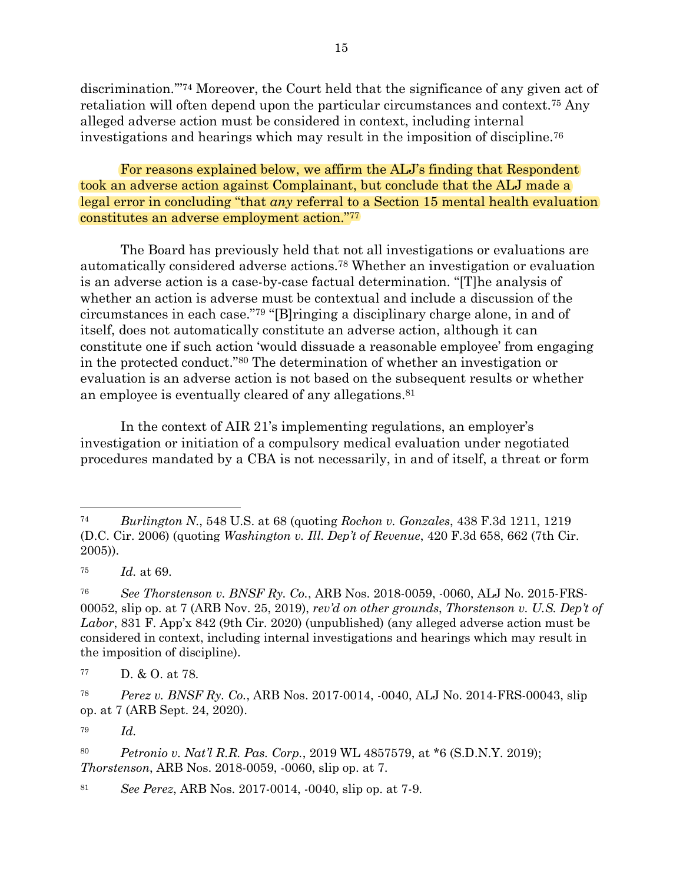discrimination."<sup>74</sup> Moreover, the Court held that the significance of any given act of retaliation will often depend upon the particular circumstances and context.<sup>75</sup> Any alleged adverse action must be considered in context, including internal investigations and hearings which may result in the imposition of discipline.<sup>76</sup>

For reasons explained below, we affirm the ALJ's finding that Respondent took an adverse action against Complainant, but conclude that the ALJ made a legal error in concluding "that *any* referral to a Section 15 mental health evaluation constitutes an adverse employment action." 77

The Board has previously held that not all investigations or evaluations are automatically considered adverse actions.<sup>78</sup> Whether an investigation or evaluation is an adverse action is a case-by-case factual determination. "[T]he analysis of whether an action is adverse must be contextual and include a discussion of the circumstances in each case."<sup>79</sup> "[B]ringing a disciplinary charge alone, in and of itself, does not automatically constitute an adverse action, although it can constitute one if such action 'would dissuade a reasonable employee' from engaging in the protected conduct."<sup>80</sup> The determination of whether an investigation or evaluation is an adverse action is not based on the subsequent results or whether an employee is eventually cleared of any allegations. 81

In the context of AIR 21's implementing regulations, an employer's investigation or initiation of a compulsory medical evaluation under negotiated procedures mandated by a CBA is not necessarily, in and of itself, a threat or form

<sup>79</sup> *Id.*

<sup>80</sup> *Petronio v. Nat'l R.R. Pas. Corp.*, 2019 WL 4857579, at \*6 (S.D.N.Y. 2019); *Thorstenson*, ARB Nos. 2018-0059, -0060, slip op. at 7.

<sup>81</sup> *See Perez*, ARB Nos. 2017-0014, -0040, slip op. at 7-9.

<sup>74</sup> *Burlington N.*, 548 U.S. at 68 (quoting *Rochon v. Gonzales*, 438 F.3d 1211, 1219 (D.C. Cir. 2006) (quoting *Washington v. Ill. Dep't of Revenue*, 420 F.3d 658, 662 (7th Cir. 2005)).

<sup>75</sup> *Id.* at 69.

<sup>76</sup> *See Thorstenson v. BNSF Ry. Co.*, ARB Nos. 2018-0059, -0060, ALJ No. 2015-FRS-00052, slip op. at 7 (ARB Nov. 25, 2019), *rev'd on other grounds*, *Thorstenson v. U.S. Dep't of Labor*, 831 F. App'x 842 (9th Cir. 2020) (unpublished) (any alleged adverse action must be considered in context, including internal investigations and hearings which may result in the imposition of discipline).

<sup>77</sup> D. & O. at 78.

<sup>78</sup> *Perez v. BNSF Ry. Co.*, ARB Nos. 2017-0014, -0040, ALJ No. 2014-FRS-00043, slip op. at 7 (ARB Sept. 24, 2020).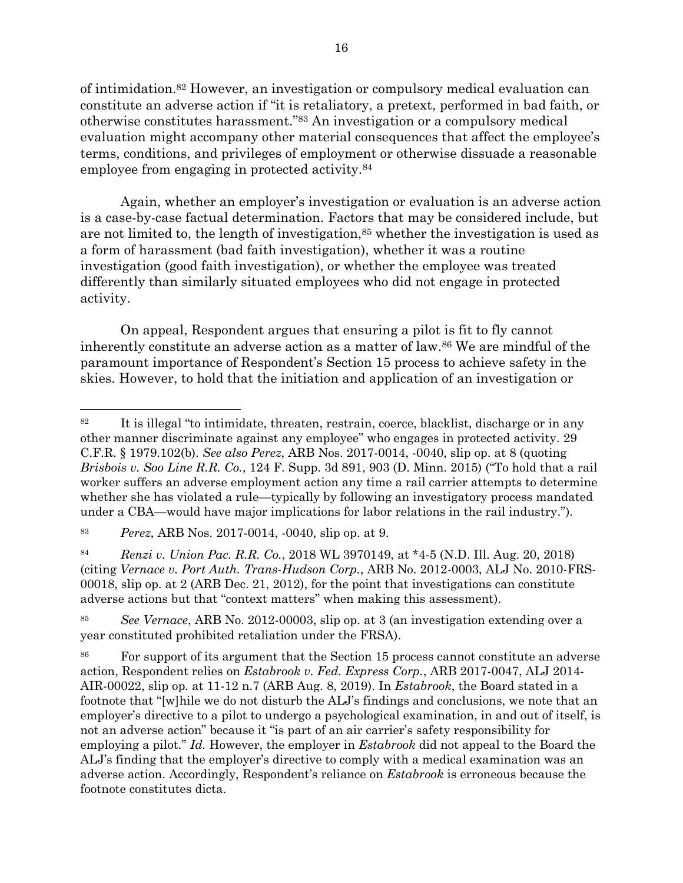of intimidation. <sup>82</sup> However, an investigation or compulsory medical evaluation can constitute an adverse action if "it is retaliatory, a pretext, performed in bad faith, or otherwise constitutes harassment."<sup>83</sup> An investigation or a compulsory medical evaluation might accompany other material consequences that affect the employee's terms, conditions, and privileges of employment or otherwise dissuade a reasonable employee from engaging in protected activity.<sup>84</sup>

Again, whether an employer's investigation or evaluation is an adverse action is a case-by-case factual determination. Factors that may be considered include, but are not limited to, the length of investigation,<sup>85</sup> whether the investigation is used as a form of harassment (bad faith investigation), whether it was a routine investigation (good faith investigation), or whether the employee was treated differently than similarly situated employees who did not engage in protected activity.

On appeal, Respondent argues that ensuring a pilot is fit to fly cannot inherently constitute an adverse action as a matter of law.<sup>86</sup> We are mindful of the paramount importance of Respondent's Section 15 process to achieve safety in the skies. However, to hold that the initiation and application of an investigation or

<sup>84</sup> *Renzi v. Union Pac. R.R. Co.*, 2018 WL 3970149, at \*4-5 (N.D. Ill. Aug. 20, 2018) (citing *Vernace v. Port Auth. Trans-Hudson Corp.*, ARB No. 2012-0003, ALJ No. 2010-FRS-00018, slip op. at 2 (ARB Dec. 21, 2012), for the point that investigations can constitute adverse actions but that "context matters" when making this assessment).

<sup>85</sup> *See Vernace*, ARB No. 2012-00003, slip op. at 3 (an investigation extending over a year constituted prohibited retaliation under the FRSA).

<sup>86</sup> For support of its argument that the Section 15 process cannot constitute an adverse action, Respondent relies on *Estabrook v. Fed. Express Corp.*, ARB 2017-0047, ALJ 2014- AIR-00022, slip op*.* at 11-12 n.7 (ARB Aug. 8, 2019). In *Estabrook*, the Board stated in a footnote that "[w]hile we do not disturb the ALJ's findings and conclusions, we note that an employer's directive to a pilot to undergo a psychological examination, in and out of itself, is not an adverse action" because it "is part of an air carrier's safety responsibility for employing a pilot." *Id.* However, the employer in *Estabrook* did not appeal to the Board the ALJ's finding that the employer's directive to comply with a medical examination was an adverse action. Accordingly, Respondent's reliance on *Estabrook* is erroneous because the footnote constitutes dicta.

<sup>82</sup> It is illegal "to intimidate, threaten, restrain, coerce, blacklist, discharge or in any other manner discriminate against any employee" who engages in protected activity. 29 C.F.R. § 1979.102(b). *See also Perez*, ARB Nos. 2017-0014, -0040, slip op. at 8 (quoting *Brisbois v. Soo Line R.R. Co.*, 124 F. Supp. 3d 891, 903 (D. Minn. 2015) ("To hold that a rail worker suffers an adverse employment action any time a rail carrier attempts to determine whether she has violated a rule—typically by following an investigatory process mandated under a CBA—would have major implications for labor relations in the rail industry.").

<sup>83</sup> *Perez*, ARB Nos. 2017-0014, -0040, slip op. at 9.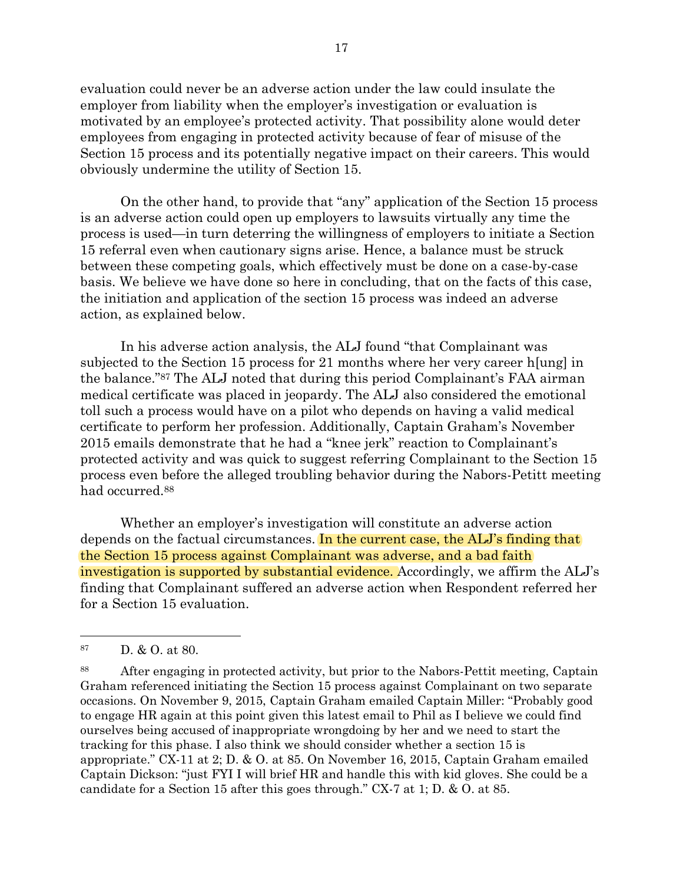evaluation could never be an adverse action under the law could insulate the employer from liability when the employer's investigation or evaluation is motivated by an employee's protected activity. That possibility alone would deter employees from engaging in protected activity because of fear of misuse of the Section 15 process and its potentially negative impact on their careers. This would obviously undermine the utility of Section 15.

On the other hand, to provide that "any" application of the Section 15 process is an adverse action could open up employers to lawsuits virtually any time the process is used—in turn deterring the willingness of employers to initiate a Section 15 referral even when cautionary signs arise. Hence, a balance must be struck between these competing goals, which effectively must be done on a case-by-case basis. We believe we have done so here in concluding, that on the facts of this case, the initiation and application of the section 15 process was indeed an adverse action, as explained below.

In his adverse action analysis, the ALJ found "that Complainant was subjected to the Section 15 process for 21 months where her very career h[ung] in the balance." <sup>87</sup> The ALJ noted that during this period Complainant's FAA airman medical certificate was placed in jeopardy. The ALJ also considered the emotional toll such a process would have on a pilot who depends on having a valid medical certificate to perform her profession. Additionally, Captain Graham's November 2015 emails demonstrate that he had a "knee jerk" reaction to Complainant's protected activity and was quick to suggest referring Complainant to the Section 15 process even before the alleged troubling behavior during the Nabors-Petitt meeting had occurred. 88

Whether an employer's investigation will constitute an adverse action depends on the factual circumstances. In the current case, the ALJ's finding that the Section 15 process against Complainant was adverse, and a bad faith investigation is supported by substantial evidence. Accordingly, we affirm the ALJ's finding that Complainant suffered an adverse action when Respondent referred her for a Section 15 evaluation.

<sup>87</sup> D. & O. at 80.

<sup>88</sup> After engaging in protected activity, but prior to the Nabors-Pettit meeting, Captain Graham referenced initiating the Section 15 process against Complainant on two separate occasions. On November 9, 2015, Captain Graham emailed Captain Miller: "Probably good to engage HR again at this point given this latest email to Phil as I believe we could find ourselves being accused of inappropriate wrongdoing by her and we need to start the tracking for this phase. I also think we should consider whether a section 15 is appropriate." CX-11 at 2; D. & O. at 85. On November 16, 2015, Captain Graham emailed Captain Dickson: "just FYI I will brief HR and handle this with kid gloves. She could be a candidate for a Section 15 after this goes through." CX-7 at 1; D. & O. at 85.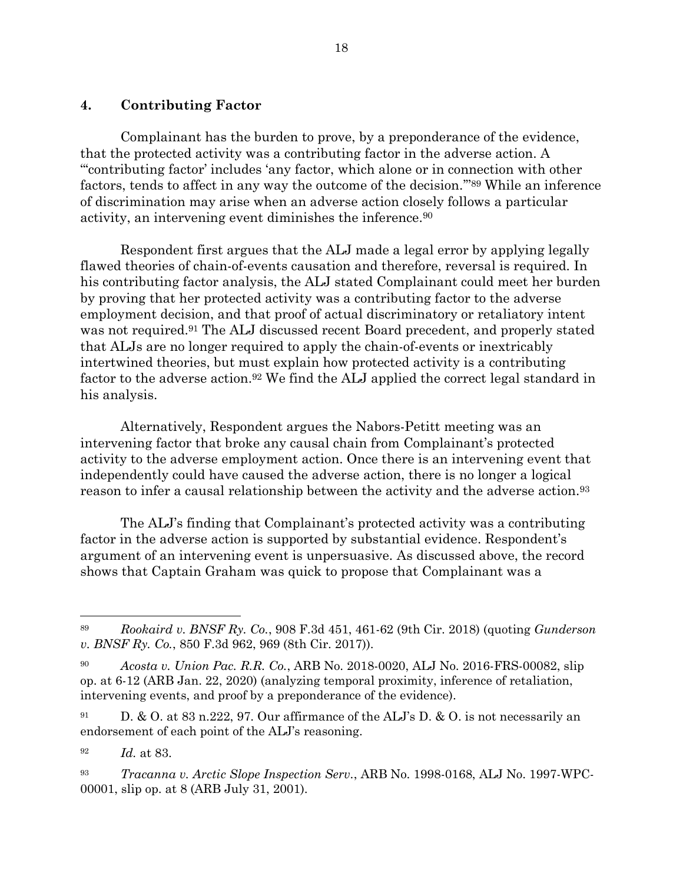# **4. Contributing Factor**

Complainant has the burden to prove, by a preponderance of the evidence, that the protected activity was a contributing factor in the adverse action. A "'contributing factor' includes 'any factor, which alone or in connection with other factors, tends to affect in any way the outcome of the decision.'" <sup>89</sup> While an inference of discrimination may arise when an adverse action closely follows a particular activity, an intervening event diminishes the inference. 90

Respondent first argues that the ALJ made a legal error by applying legally flawed theories of chain-of-events causation and therefore, reversal is required. In his contributing factor analysis, the ALJ stated Complainant could meet her burden by proving that her protected activity was a contributing factor to the adverse employment decision, and that proof of actual discriminatory or retaliatory intent was not required.<sup>91</sup> The ALJ discussed recent Board precedent, and properly stated that ALJs are no longer required to apply the chain-of-events or inextricably intertwined theories, but must explain how protected activity is a contributing factor to the adverse action.<sup>92</sup> We find the ALJ applied the correct legal standard in his analysis.

Alternatively, Respondent argues the Nabors-Petitt meeting was an intervening factor that broke any causal chain from Complainant's protected activity to the adverse employment action. Once there is an intervening event that independently could have caused the adverse action, there is no longer a logical reason to infer a causal relationship between the activity and the adverse action.<sup>93</sup>

The ALJ's finding that Complainant's protected activity was a contributing factor in the adverse action is supported by substantial evidence. Respondent's argument of an intervening event is unpersuasive. As discussed above, the record shows that Captain Graham was quick to propose that Complainant was a

<sup>89</sup> *Rookaird v. BNSF Ry. Co.*, 908 F.3d 451, 461-62 (9th Cir. 2018) (quoting *Gunderson v. BNSF Ry. Co.*, 850 F.3d 962, 969 (8th Cir. 2017)).

<sup>90</sup> *Acosta v. Union Pac. R.R. Co.*, ARB No. 2018-0020, ALJ No. 2016-FRS-00082, slip op. at 6-12 (ARB Jan. 22, 2020) (analyzing temporal proximity, inference of retaliation, intervening events, and proof by a preponderance of the evidence).

<sup>91</sup> D. & O. at 83 n.222, 97. Our affirmance of the ALJ's D. & O. is not necessarily an endorsement of each point of the ALJ's reasoning.

<sup>92</sup> *Id.* at 83.

<sup>93</sup> *Tracanna v. Arctic Slope Inspection Serv.*, ARB No. 1998-0168, ALJ No. 1997-WPC-00001, slip op. at 8 (ARB July 31, 2001).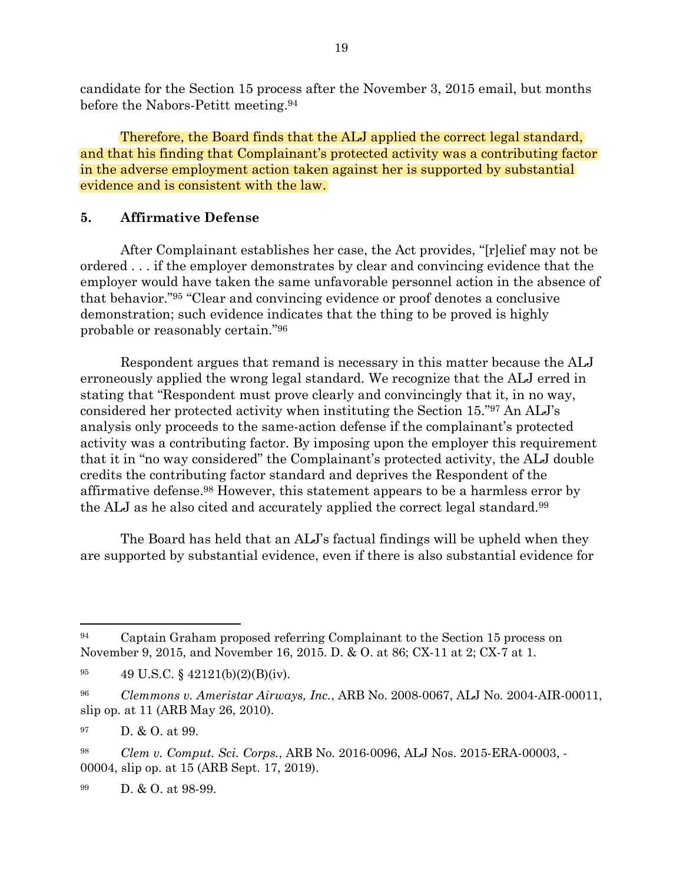candidate for the Section 15 process after the November 3, 2015 email, but months before the Nabors-Petitt meeting. 94

Therefore, the Board finds that the ALJ applied the correct legal standard, and that his finding that Complainant's protected activity was a contributing factor in the adverse employment action taken against her is supported by substantial evidence and is consistent with the law.

## **5. Affirmative Defense**

After Complainant establishes her case, the Act provides, "[r]elief may not be ordered . . . if the employer demonstrates by clear and convincing evidence that the employer would have taken the same unfavorable personnel action in the absence of that behavior."<sup>95</sup> "Clear and convincing evidence or proof denotes a conclusive demonstration; such evidence indicates that the thing to be proved is highly probable or reasonably certain."<sup>96</sup>

Respondent argues that remand is necessary in this matter because the ALJ erroneously applied the wrong legal standard. We recognize that the ALJ erred in stating that "Respondent must prove clearly and convincingly that it, in no way, considered her protected activity when instituting the Section 15." <sup>97</sup> An ALJ's analysis only proceeds to the same-action defense if the complainant's protected activity was a contributing factor. By imposing upon the employer this requirement that it in "no way considered" the Complainant's protected activity, the ALJ double credits the contributing factor standard and deprives the Respondent of the affirmative defense. <sup>98</sup> However, this statement appears to be a harmless error by the ALJ as he also cited and accurately applied the correct legal standard.<sup>99</sup>

The Board has held that an ALJ's factual findings will be upheld when they are supported by substantial evidence, even if there is also substantial evidence for

<sup>97</sup> D. & O. at 99.

<sup>98</sup> *Clem v. Comput. Sci. Corps.*, ARB No. 2016-0096, ALJ Nos. 2015-ERA-00003, - 00004, slip op. at 15 (ARB Sept. 17, 2019).

<sup>99</sup> D. & O. at 98-99.

<sup>94</sup> Captain Graham proposed referring Complainant to the Section 15 process on November 9, 2015, and November 16, 2015. D. & O. at 86; CX-11 at 2; CX-7 at 1.

<sup>95</sup> 49 U.S.C. § 42121(b)(2)(B)(iv).

<sup>96</sup> *Clemmons v. Ameristar Airways, Inc.*, ARB No. 2008-0067, ALJ No. 2004-AIR-00011, slip op. at 11 (ARB May 26, 2010).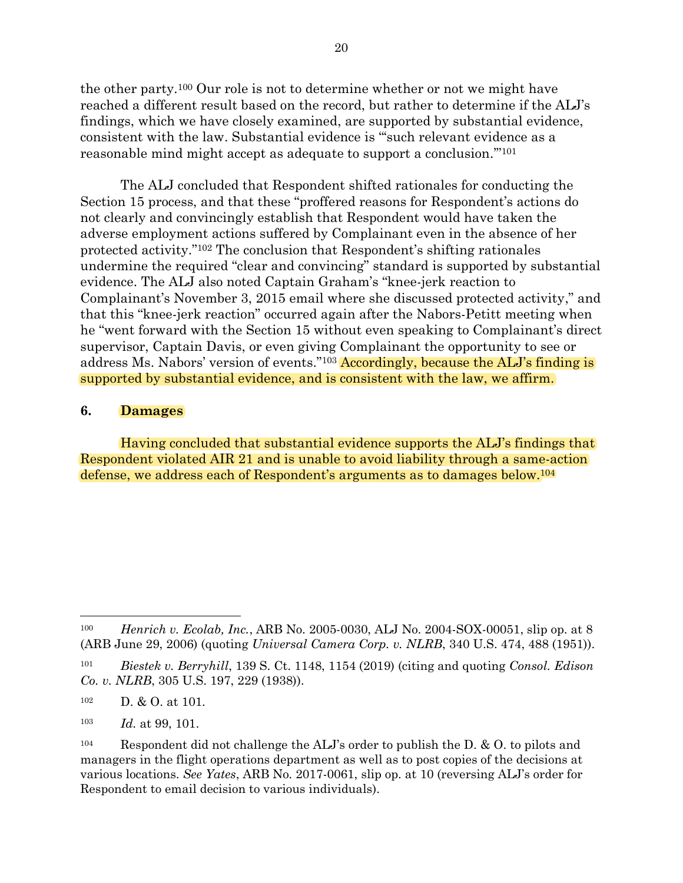the other party.<sup>100</sup> Our role is not to determine whether or not we might have reached a different result based on the record, but rather to determine if the ALJ's findings, which we have closely examined, are supported by substantial evidence, consistent with the law. Substantial evidence is "'such relevant evidence as a reasonable mind might accept as adequate to support a conclusion.'"<sup>101</sup>

The ALJ concluded that Respondent shifted rationales for conducting the Section 15 process, and that these "proffered reasons for Respondent's actions do not clearly and convincingly establish that Respondent would have taken the adverse employment actions suffered by Complainant even in the absence of her protected activity."<sup>102</sup> The conclusion that Respondent's shifting rationales undermine the required "clear and convincing" standard is supported by substantial evidence. The ALJ also noted Captain Graham's "knee-jerk reaction to Complainant's November 3, 2015 email where she discussed protected activity," and that this "knee-jerk reaction" occurred again after the Nabors-Petitt meeting when he "went forward with the Section 15 without even speaking to Complainant's direct supervisor, Captain Davis, or even giving Complainant the opportunity to see or address Ms. Nabors' version of events."<sup>103</sup> Accordingly, because the ALJ's finding is supported by substantial evidence, and is consistent with the law, we affirm.

## **6. Damages**

Having concluded that substantial evidence supports the ALJ's findings that Respondent violated AIR 21 and is unable to avoid liability through a same-action defense, we address each of Respondent's arguments as to damages below.<sup>104</sup>

<sup>102</sup> D. & O. at 101.

<sup>103</sup> *Id.* at 99, 101.

<sup>100</sup> *Henrich v. Ecolab, Inc.*, ARB No. 2005-0030, ALJ No. 2004-SOX-00051, slip op. at 8 (ARB June 29, 2006) (quoting *Universal Camera Corp. v. NLRB*, 340 U.S. 474, 488 (1951)).

<sup>101</sup> *Biestek v. Berryhill*, 139 S. Ct. 1148, 1154 (2019) (citing and quoting *Consol. Edison Co. v. NLRB*, 305 U.S. 197, 229 (1938)).

<sup>&</sup>lt;sup>104</sup> Respondent did not challenge the ALJ's order to publish the D.  $&$  O. to pilots and managers in the flight operations department as well as to post copies of the decisions at various locations. *See Yates*, ARB No. 2017-0061, slip op. at 10 (reversing ALJ's order for Respondent to email decision to various individuals).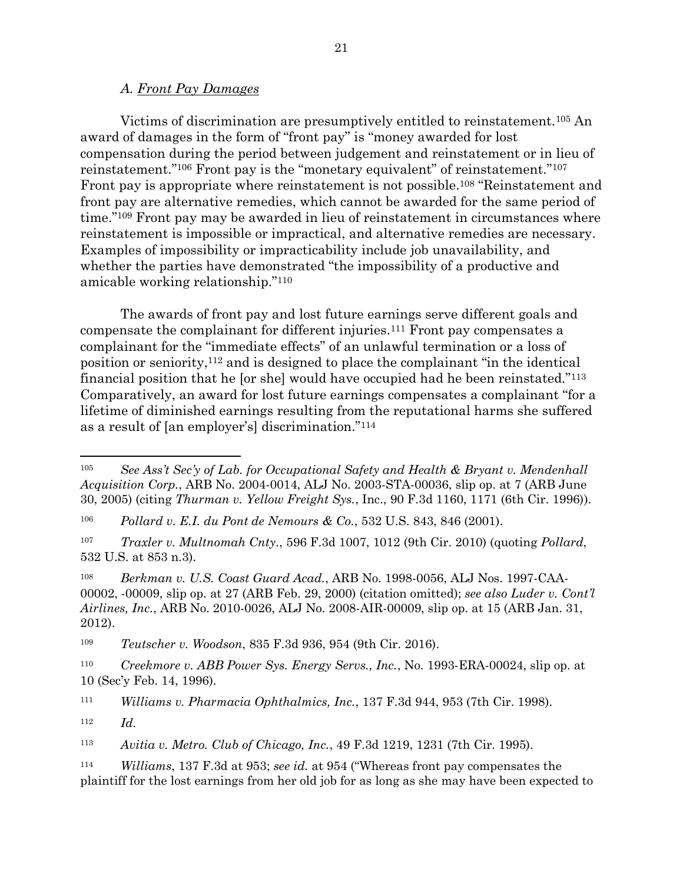#### *A. Front Pay Damages*

Victims of discrimination are presumptively entitled to reinstatement.<sup>105</sup> An award of damages in the form of "front pay" is "money awarded for lost compensation during the period between judgement and reinstatement or in lieu of reinstatement."<sup>106</sup> Front pay is the "monetary equivalent" of reinstatement."<sup>107</sup> Front pay is appropriate where reinstatement is not possible.<sup>108</sup> "Reinstatement and front pay are alternative remedies, which cannot be awarded for the same period of time." <sup>109</sup> Front pay may be awarded in lieu of reinstatement in circumstances where reinstatement is impossible or impractical, and alternative remedies are necessary. Examples of impossibility or impracticability include job unavailability, and whether the parties have demonstrated "the impossibility of a productive and amicable working relationship."<sup>110</sup>

The awards of front pay and lost future earnings serve different goals and compensate the complainant for different injuries. <sup>111</sup> Front pay compensates a complainant for the "immediate effects" of an unlawful termination or a loss of position or seniority,<sup>112</sup> and is designed to place the complainant "in the identical financial position that he [or she] would have occupied had he been reinstated."<sup>113</sup> Comparatively, an award for lost future earnings compensates a complainant "for a lifetime of diminished earnings resulting from the reputational harms she suffered as a result of [an employer's] discrimination."<sup>114</sup>

<sup>108</sup> *Berkman v. U.S. Coast Guard Acad.*, ARB No. 1998-0056, ALJ Nos. 1997-CAA-00002, -00009, slip op. at 27 (ARB Feb. 29, 2000) (citation omitted); *see also Luder v. Cont'l Airlines, Inc.*, ARB No. 2010-0026, ALJ No. 2008-AIR-00009, slip op. at 15 (ARB Jan. 31, 2012).

<sup>109</sup> *Teutscher v. Woodson*, 835 F.3d 936, 954 (9th Cir. 2016).

<sup>110</sup> *Creekmore v. ABB Power Sys. Energy Servs., Inc.*, No. 1993-ERA-00024, slip op. at 10 (Sec'y Feb. 14, 1996).

<sup>111</sup> *Williams v. Pharmacia Ophthalmics, Inc.*, 137 F.3d 944, 953 (7th Cir. 1998).

<sup>112</sup> *Id.*

<sup>113</sup> *Avitia v. Metro. Club of Chicago, Inc.*, 49 F.3d 1219, 1231 (7th Cir. 1995).

<sup>105</sup> *See Ass't Sec'y of Lab. for Occupational Safety and Health & Bryant v. Mendenhall Acquisition Corp.*, ARB No. 2004-0014, ALJ No. 2003-STA-00036, slip op. at 7 (ARB June 30, 2005) (citing *Thurman v. Yellow Freight Sys.*, Inc., 90 F.3d 1160, 1171 (6th Cir. 1996)).

<sup>106</sup> *Pollard v. E.I. du Pont de Nemours & Co.*, 532 U.S. 843, 846 (2001).

<sup>107</sup> *Traxler v. Multnomah Cnty.*, 596 F.3d 1007, 1012 (9th Cir. 2010) (quoting *Pollard*, 532 U.S. at 853 n.3).

<sup>114</sup> *Williams*, 137 F.3d at 953; *see id.* at 954 ("Whereas front pay compensates the plaintiff for the lost earnings from her old job for as long as she may have been expected to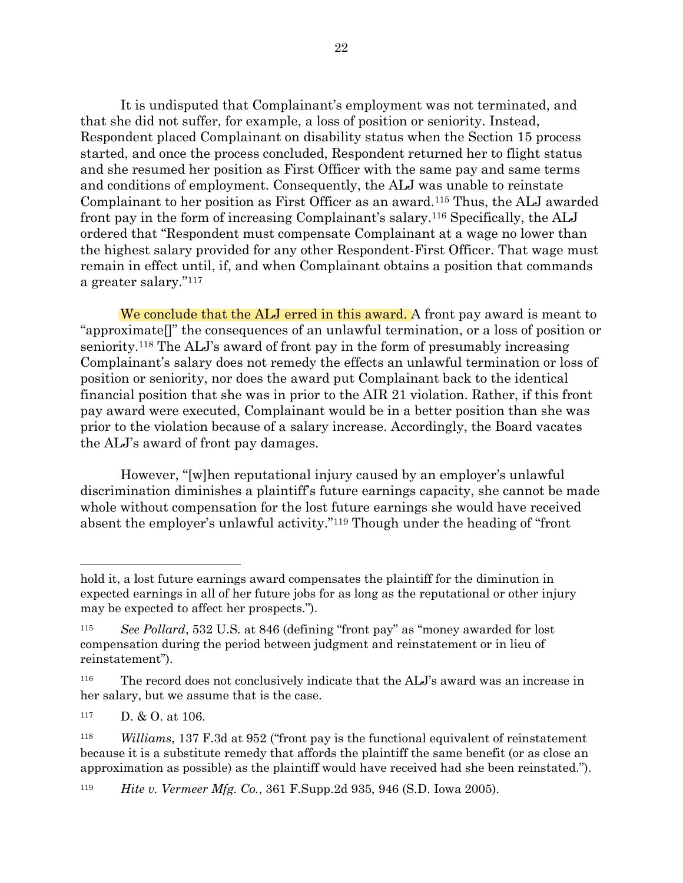It is undisputed that Complainant's employment was not terminated, and that she did not suffer, for example, a loss of position or seniority. Instead, Respondent placed Complainant on disability status when the Section 15 process started, and once the process concluded, Respondent returned her to flight status and she resumed her position as First Officer with the same pay and same terms and conditions of employment. Consequently, the ALJ was unable to reinstate Complainant to her position as First Officer as an award. <sup>115</sup> Thus, the ALJ awarded front pay in the form of increasing Complainant's salary.<sup>116</sup> Specifically, the ALJ ordered that "Respondent must compensate Complainant at a wage no lower than the highest salary provided for any other Respondent-First Officer. That wage must remain in effect until, if, and when Complainant obtains a position that commands a greater salary."<sup>117</sup>

We conclude that the ALJ erred in this award. A front pay award is meant to "approximate[]" the consequences of an unlawful termination, or a loss of position or seniority. <sup>118</sup> The ALJ's award of front pay in the form of presumably increasing Complainant's salary does not remedy the effects an unlawful termination or loss of position or seniority, nor does the award put Complainant back to the identical financial position that she was in prior to the AIR 21 violation. Rather, if this front pay award were executed, Complainant would be in a better position than she was prior to the violation because of a salary increase. Accordingly, the Board vacates the ALJ's award of front pay damages.

However, "[w]hen reputational injury caused by an employer's unlawful discrimination diminishes a plaintiff's future earnings capacity, she cannot be made whole without compensation for the lost future earnings she would have received absent the employer's unlawful activity."<sup>119</sup> Though under the heading of "front

hold it, a lost future earnings award compensates the plaintiff for the diminution in expected earnings in all of her future jobs for as long as the reputational or other injury may be expected to affect her prospects.").

<sup>115</sup> *See Pollard*, 532 U.S. at 846 (defining "front pay" as "money awarded for lost compensation during the period between judgment and reinstatement or in lieu of reinstatement").

<sup>&</sup>lt;sup>116</sup> The record does not conclusively indicate that the ALJ's award was an increase in her salary, but we assume that is the case.

<sup>117</sup> D. & O. at 106.

<sup>118</sup> *Williams*, 137 F.3d at 952 ("front pay is the functional equivalent of reinstatement because it is a substitute remedy that affords the plaintiff the same benefit (or as close an approximation as possible) as the plaintiff would have received had she been reinstated.").

<sup>119</sup> *Hite v. Vermeer Mfg. Co.*, 361 F.Supp.2d 935, 946 (S.D. Iowa 2005).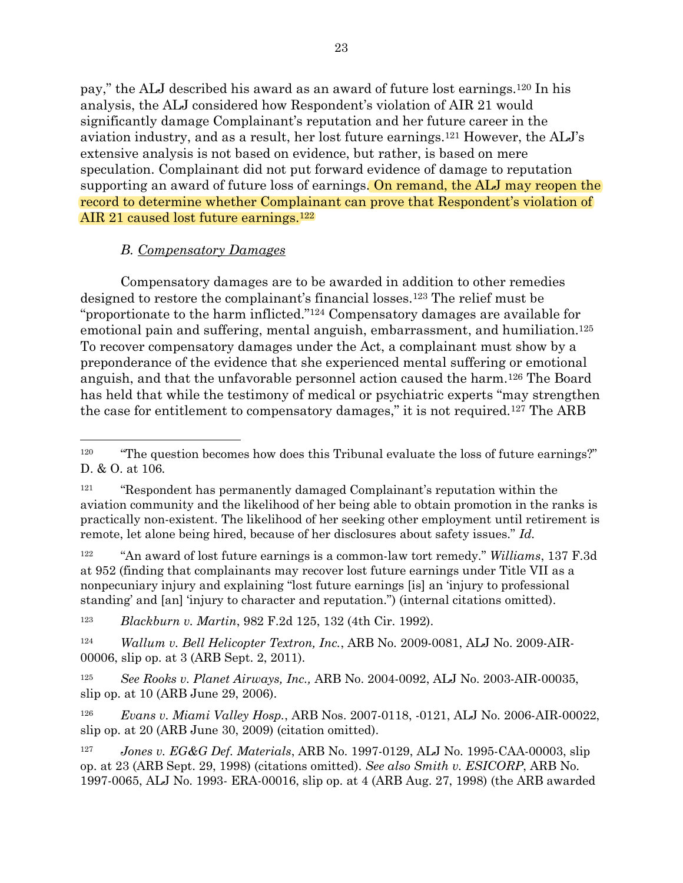pay," the ALJ described his award as an award of future lost earnings.<sup>120</sup> In his analysis, the ALJ considered how Respondent's violation of AIR 21 would significantly damage Complainant's reputation and her future career in the aviation industry, and as a result, her lost future earnings.<sup>121</sup> However, the ALJ's extensive analysis is not based on evidence, but rather, is based on mere speculation. Complainant did not put forward evidence of damage to reputation supporting an award of future loss of earnings. On remand, the ALJ may reopen the record to determine whether Complainant can prove that Respondent's violation of AIR 21 caused lost future earnings.<sup>122</sup>

# *B. Compensatory Damages*

Compensatory damages are to be awarded in addition to other remedies designed to restore the complainant's financial losses.<sup>123</sup> The relief must be "proportionate to the harm inflicted."<sup>124</sup> Compensatory damages are available for emotional pain and suffering, mental anguish, embarrassment, and humiliation.<sup>125</sup> To recover compensatory damages under the Act, a complainant must show by a preponderance of the evidence that she experienced mental suffering or emotional anguish, and that the unfavorable personnel action caused the harm.<sup>126</sup> The Board has held that while the testimony of medical or psychiatric experts "may strengthen the case for entitlement to compensatory damages," it is not required.<sup>127</sup> The ARB

<sup>122</sup> "An award of lost future earnings is a common-law tort remedy." *Williams*, 137 F.3d at 952 (finding that complainants may recover lost future earnings under Title VII as a nonpecuniary injury and explaining "lost future earnings [is] an 'injury to professional standing' and [an] 'injury to character and reputation.") (internal citations omitted).

<sup>123</sup> *Blackburn v. Martin*, 982 F.2d 125, 132 (4th Cir. 1992).

<sup>124</sup> *Wallum v. Bell Helicopter Textron, Inc.*, ARB No. 2009-0081, ALJ No. 2009-AIR-00006, slip op. at 3 (ARB Sept. 2, 2011).

<sup>125</sup> *See Rooks v. Planet Airways, Inc.,* ARB No. 2004-0092, ALJ No. 2003-AIR-00035, slip op. at 10 (ARB June 29, 2006).

<sup>126</sup> *Evans v. Miami Valley Hosp.*, ARB Nos. 2007-0118, -0121, ALJ No. 2006-AIR-00022, slip op. at 20 (ARB June 30, 2009) (citation omitted).

<sup>127</sup> *Jones v. EG&G Def. Materials*, ARB No. 1997-0129, ALJ No. 1995-CAA-00003, slip op. at 23 (ARB Sept. 29, 1998) (citations omitted). *See also Smith v. ESICORP*, ARB No. 1997-0065, ALJ No. 1993- ERA-00016, slip op. at 4 (ARB Aug. 27, 1998) (the ARB awarded

<sup>&</sup>lt;sup>120</sup> "The question becomes how does this Tribunal evaluate the loss of future earnings?" D. & O. at 106*.*

<sup>&</sup>lt;sup>121</sup> "Respondent has permanently damaged Complainant's reputation within the aviation community and the likelihood of her being able to obtain promotion in the ranks is practically non-existent. The likelihood of her seeking other employment until retirement is remote, let alone being hired, because of her disclosures about safety issues." *Id.*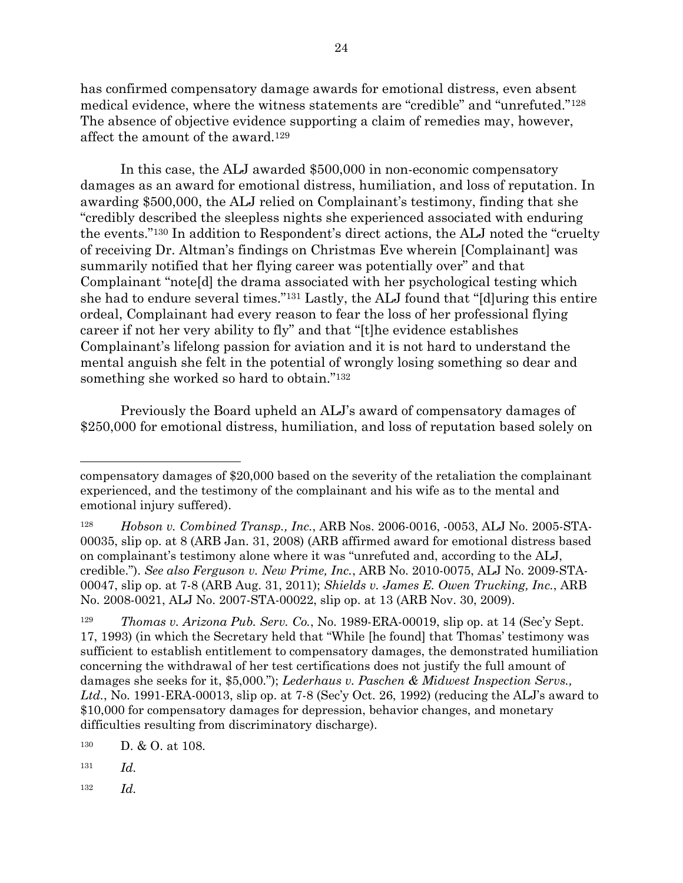has confirmed compensatory damage awards for emotional distress, even absent medical evidence, where the witness statements are "credible" and "unrefuted."<sup>128</sup> The absence of objective evidence supporting a claim of remedies may, however, affect the amount of the award.<sup>129</sup>

In this case, the ALJ awarded \$500,000 in non-economic compensatory damages as an award for emotional distress, humiliation, and loss of reputation. In awarding \$500,000, the ALJ relied on Complainant's testimony, finding that she "credibly described the sleepless nights she experienced associated with enduring the events." <sup>130</sup> In addition to Respondent's direct actions, the ALJ noted the "cruelty of receiving Dr. Altman's findings on Christmas Eve wherein [Complainant] was summarily notified that her flying career was potentially over" and that Complainant "note[d] the drama associated with her psychological testing which she had to endure several times."<sup>131</sup> Lastly, the ALJ found that "[d]uring this entire ordeal, Complainant had every reason to fear the loss of her professional flying career if not her very ability to fly" and that "[t]he evidence establishes Complainant's lifelong passion for aviation and it is not hard to understand the mental anguish she felt in the potential of wrongly losing something so dear and something she worked so hard to obtain." 132

Previously the Board upheld an ALJ's award of compensatory damages of \$250,000 for emotional distress, humiliation, and loss of reputation based solely on

<sup>128</sup> *Hobson v. Combined Transp., Inc.*, ARB Nos. 2006-0016, -0053, ALJ No. 2005-STA-00035, slip op. at 8 (ARB Jan. 31, 2008) (ARB affirmed award for emotional distress based on complainant's testimony alone where it was "unrefuted and, according to the ALJ, credible."). *See also Ferguson v. New Prime, Inc.*, ARB No. 2010-0075, ALJ No. 2009-STA-00047, slip op. at 7-8 (ARB Aug. 31, 2011); *Shields v. James E. Owen Trucking, Inc.*, ARB No. 2008-0021, ALJ No. 2007-STA-00022, slip op. at 13 (ARB Nov. 30, 2009).

<sup>129</sup> *Thomas v. Arizona Pub. Serv. Co.*, No. 1989-ERA-00019, slip op. at 14 (Sec'y Sept. 17, 1993) (in which the Secretary held that "While [he found] that Thomas' testimony was sufficient to establish entitlement to compensatory damages, the demonstrated humiliation concerning the withdrawal of her test certifications does not justify the full amount of damages she seeks for it, \$5,000."); *Lederhaus v. Paschen & Midwest Inspection Servs., Ltd.*, No. 1991-ERA-00013, slip op. at 7-8 (Sec'y Oct. 26, 1992) (reducing the ALJ's award to \$10,000 for compensatory damages for depression, behavior changes, and monetary difficulties resulting from discriminatory discharge).

<sup>130</sup> D. & O. at 108.

<sup>131</sup> *Id.*

<sup>132</sup> *Id.*

compensatory damages of \$20,000 based on the severity of the retaliation the complainant experienced, and the testimony of the complainant and his wife as to the mental and emotional injury suffered).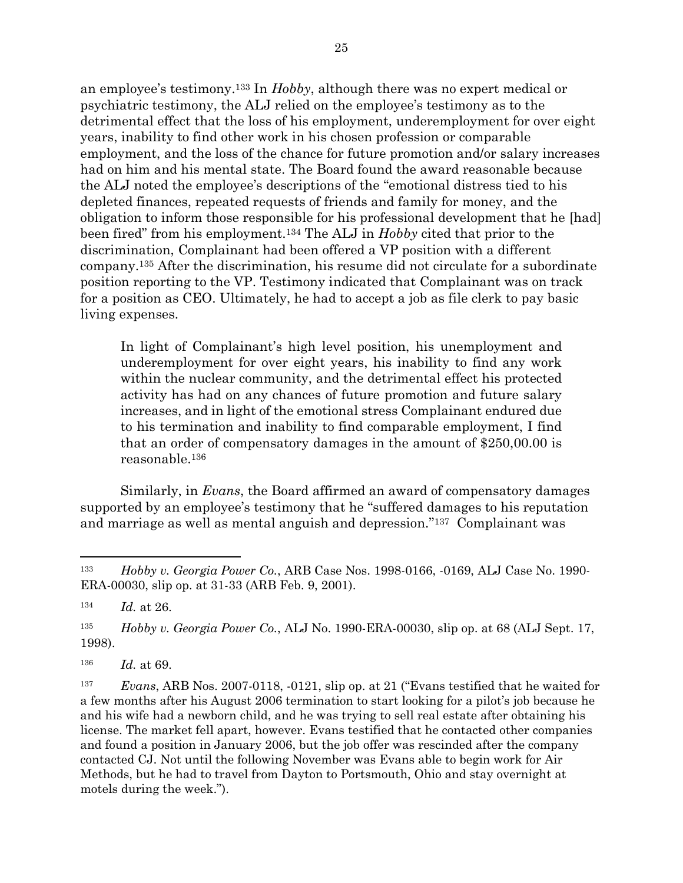an employee's testimony. <sup>133</sup> In *Hobby*, although there was no expert medical or psychiatric testimony, the ALJ relied on the employee's testimony as to the detrimental effect that the loss of his employment, underemployment for over eight years, inability to find other work in his chosen profession or comparable employment, and the loss of the chance for future promotion and/or salary increases had on him and his mental state. The Board found the award reasonable because the ALJ noted the employee's descriptions of the "emotional distress tied to his depleted finances, repeated requests of friends and family for money, and the obligation to inform those responsible for his professional development that he [had] been fired" from his employment.<sup>134</sup> The ALJ in *Hobby* cited that prior to the discrimination, Complainant had been offered a VP position with a different company.<sup>135</sup> After the discrimination, his resume did not circulate for a subordinate position reporting to the VP. Testimony indicated that Complainant was on track for a position as CEO. Ultimately, he had to accept a job as file clerk to pay basic living expenses.

In light of Complainant's high level position, his unemployment and underemployment for over eight years, his inability to find any work within the nuclear community, and the detrimental effect his protected activity has had on any chances of future promotion and future salary increases, and in light of the emotional stress Complainant endured due to his termination and inability to find comparable employment, I find that an order of compensatory damages in the amount of \$250,00.00 is reasonable.<sup>136</sup>

Similarly, in *Evans*, the Board affirmed an award of compensatory damages supported by an employee's testimony that he "suffered damages to his reputation and marriage as well as mental anguish and depression." <sup>137</sup> Complainant was

<sup>133</sup> *Hobby v. Georgia Power Co.*, ARB Case Nos. 1998-0166, -0169, ALJ Case No. 1990- ERA-00030, slip op. at 31-33 (ARB Feb. 9, 2001).

<sup>134</sup> *Id.* at 26.

<sup>135</sup> *Hobby v. Georgia Power Co.*, ALJ No. 1990-ERA-00030, slip op. at 68 (ALJ Sept. 17, 1998).

<sup>136</sup> *Id.* at 69.

<sup>137</sup> *Evans*, ARB Nos. 2007-0118, -0121, slip op. at 21 ("Evans testified that he waited for a few months after his August 2006 termination to start looking for a pilot's job because he and his wife had a newborn child, and he was trying to sell real estate after obtaining his license. The market fell apart, however. Evans testified that he contacted other companies and found a position in January 2006, but the job offer was rescinded after the company contacted CJ. Not until the following November was Evans able to begin work for Air Methods, but he had to travel from Dayton to Portsmouth, Ohio and stay overnight at motels during the week.").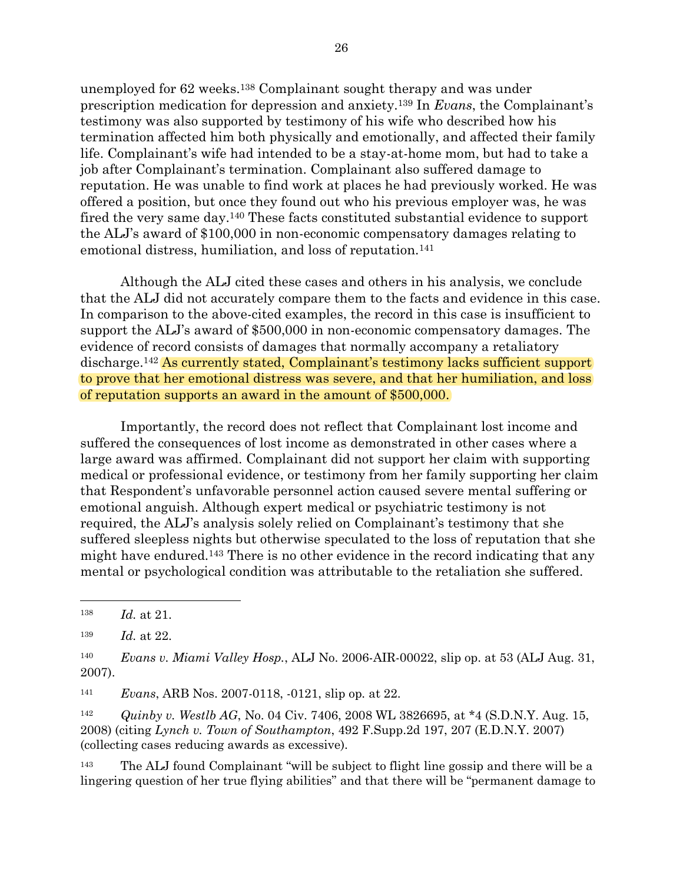unemployed for 62 weeks.<sup>138</sup> Complainant sought therapy and was under prescription medication for depression and anxiety.<sup>139</sup> In *Evans*, the Complainant's testimony was also supported by testimony of his wife who described how his termination affected him both physically and emotionally, and affected their family life. Complainant's wife had intended to be a stay-at-home mom, but had to take a job after Complainant's termination. Complainant also suffered damage to reputation. He was unable to find work at places he had previously worked. He was offered a position, but once they found out who his previous employer was, he was fired the very same day.<sup>140</sup> These facts constituted substantial evidence to support the ALJ's award of \$100,000 in non-economic compensatory damages relating to emotional distress, humiliation, and loss of reputation.<sup>141</sup>

Although the ALJ cited these cases and others in his analysis, we conclude that the ALJ did not accurately compare them to the facts and evidence in this case. In comparison to the above-cited examples, the record in this case is insufficient to support the ALJ's award of \$500,000 in non-economic compensatory damages. The evidence of record consists of damages that normally accompany a retaliatory discharge.<sup>142</sup> As currently stated, Complainant's testimony lacks sufficient support to prove that her emotional distress was severe, and that her humiliation, and loss of reputation supports an award in the amount of \$500,000.

Importantly, the record does not reflect that Complainant lost income and suffered the consequences of lost income as demonstrated in other cases where a large award was affirmed. Complainant did not support her claim with supporting medical or professional evidence, or testimony from her family supporting her claim that Respondent's unfavorable personnel action caused severe mental suffering or emotional anguish. Although expert medical or psychiatric testimony is not required, the ALJ's analysis solely relied on Complainant's testimony that she suffered sleepless nights but otherwise speculated to the loss of reputation that she might have endured. <sup>143</sup> There is no other evidence in the record indicating that any mental or psychological condition was attributable to the retaliation she suffered.

<sup>141</sup> *Evans*, ARB Nos. 2007-0118, -0121, slip op*.* at 22.

<sup>142</sup> *Quinby v. Westlb AG*, No. 04 Civ. 7406, 2008 WL 3826695, at \*4 (S.D.N.Y. Aug. 15, 2008) (citing *Lynch v. Town of Southampton*, 492 F.Supp.2d 197, 207 (E.D.N.Y. 2007) (collecting cases reducing awards as excessive).

<sup>143</sup> The ALJ found Complainant "will be subject to flight line gossip and there will be a lingering question of her true flying abilities" and that there will be "permanent damage to

<sup>138</sup> *Id.* at 21.

<sup>139</sup> *Id.* at 22.

<sup>140</sup> *Evans v. Miami Valley Hosp.*, ALJ No. 2006-AIR-00022, slip op. at 53 (ALJ Aug. 31, 2007).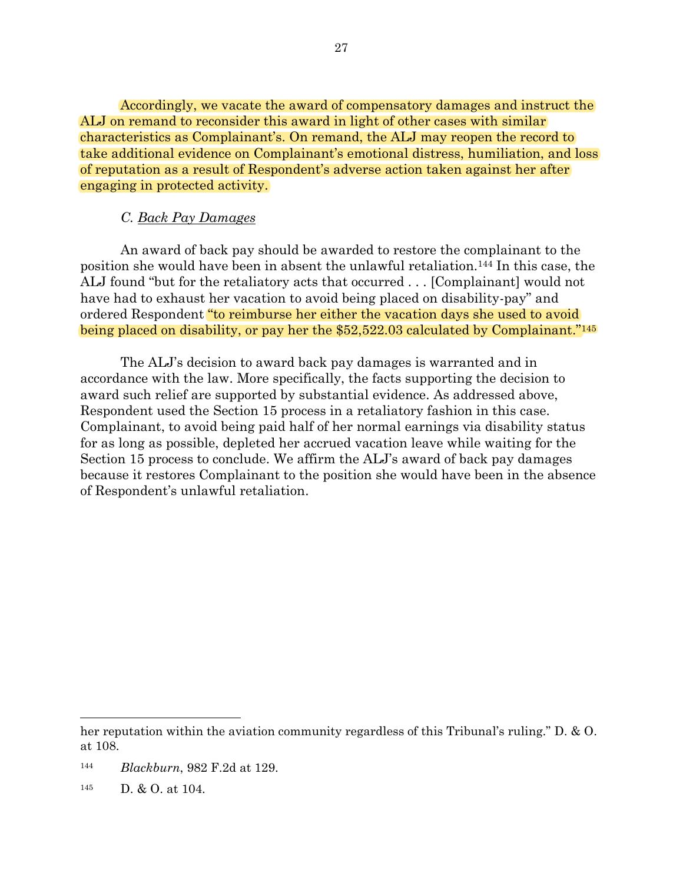Accordingly, we vacate the award of compensatory damages and instruct the ALJ on remand to reconsider this award in light of other cases with similar characteristics as Complainant's. On remand, the ALJ may reopen the record to take additional evidence on Complainant's emotional distress, humiliation, and loss of reputation as a result of Respondent's adverse action taken against her after engaging in protected activity.

## *C. Back Pay Damages*

An award of back pay should be awarded to restore the complainant to the position she would have been in absent the unlawful retaliation.<sup>144</sup> In this case, the ALJ found "but for the retaliatory acts that occurred . . . [Complainant] would not have had to exhaust her vacation to avoid being placed on disability-pay" and ordered Respondent "to reimburse her either the vacation days she used to avoid being placed on disability, or pay her the \$52,522.03 calculated by Complainant."<sup>145</sup>

The ALJ's decision to award back pay damages is warranted and in accordance with the law. More specifically, the facts supporting the decision to award such relief are supported by substantial evidence. As addressed above, Respondent used the Section 15 process in a retaliatory fashion in this case. Complainant, to avoid being paid half of her normal earnings via disability status for as long as possible, depleted her accrued vacation leave while waiting for the Section 15 process to conclude. We affirm the ALJ's award of back pay damages because it restores Complainant to the position she would have been in the absence of Respondent's unlawful retaliation.

- <sup>144</sup> *Blackburn*, 982 F.2d at 129.
- <sup>145</sup> D. & O. at 104.

her reputation within the aviation community regardless of this Tribunal's ruling." D. & O. at 108.